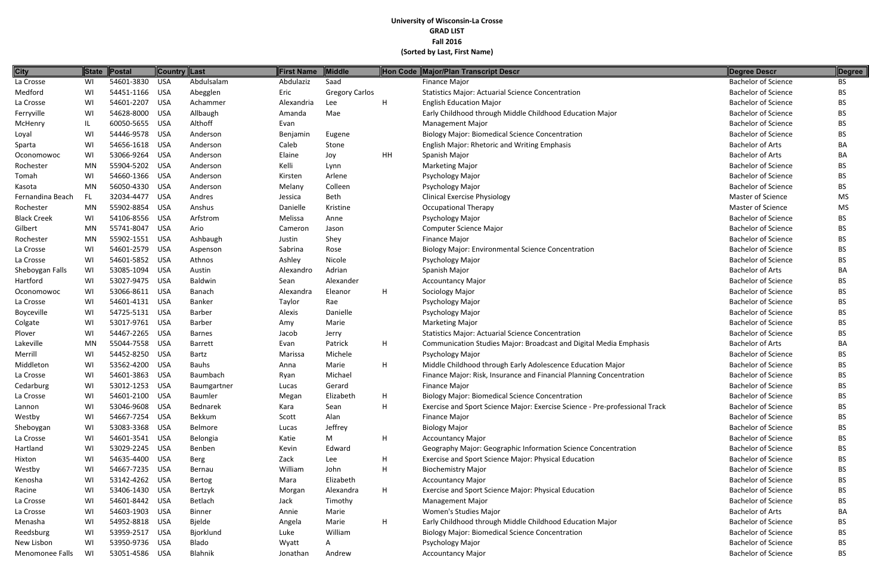| <b>City</b>        |     | State Postal   | Country Last |                | First Name | Middle                |             | Hon Code Major/Plan Transcript Descr                                        | Degree Descr               | Degree    |
|--------------------|-----|----------------|--------------|----------------|------------|-----------------------|-------------|-----------------------------------------------------------------------------|----------------------------|-----------|
| La Crosse          | WI  | 54601-3830     | <b>USA</b>   | Abdulsalam     | Abdulaziz  | Saad                  |             | Finance Major                                                               | <b>Bachelor of Science</b> | <b>BS</b> |
| Medford            | WI  | 54451-1166 USA |              | Abegglen       | Eric       | <b>Gregory Carlos</b> |             | <b>Statistics Major: Actuarial Science Concentration</b>                    | <b>Bachelor of Science</b> | <b>BS</b> |
| La Crosse          | WI  | 54601-2207     | <b>USA</b>   | Achammer       | Alexandria | Lee                   | Н.          | <b>English Education Major</b>                                              | <b>Bachelor of Science</b> | <b>BS</b> |
| Ferryville         | WI  | 54628-8000     | USA          | Allbaugh       | Amanda     | Mae                   |             | Early Childhood through Middle Childhood Education Major                    | <b>Bachelor of Science</b> | <b>BS</b> |
| <b>McHenry</b>     | IL  | 60050-5655     | USA          | Althoff        | Evan       |                       |             | <b>Management Major</b>                                                     | <b>Bachelor of Science</b> | <b>BS</b> |
| Loyal              | WI  | 54446-9578     | USA          | Anderson       | Benjamin   | Eugene                |             | <b>Biology Major: Biomedical Science Concentration</b>                      | <b>Bachelor of Science</b> | <b>BS</b> |
| Sparta             | WI  | 54656-1618 USA |              | Anderson       | Caleb      | Stone                 |             | <b>English Major: Rhetoric and Writing Emphasis</b>                         | <b>Bachelor of Arts</b>    | BA        |
| Oconomowoc         | WI  | 53066-9264     | <b>USA</b>   | Anderson       | Elaine     | Joy                   | HH          | Spanish Major                                                               | <b>Bachelor of Arts</b>    | BA        |
| Rochester          | MN  | 55904-5202 USA |              | Anderson       | Kelli      | Lynn                  |             | <b>Marketing Major</b>                                                      | <b>Bachelor of Science</b> | <b>BS</b> |
| Tomah              | WI  | 54660-1366     | USA          | Anderson       | Kirsten    | Arlene                |             | Psychology Major                                                            | <b>Bachelor of Science</b> | <b>BS</b> |
| Kasota             | MN  | 56050-4330     | USA          | Anderson       | Melany     | Colleen               |             | Psychology Major                                                            | <b>Bachelor of Science</b> | <b>BS</b> |
| Fernandina Beach   | FL. | 32034-4477     | USA          | Andres         | Jessica    | Beth                  |             | <b>Clinical Exercise Physiology</b>                                         | <b>Master of Science</b>   | <b>MS</b> |
| Rochester          | MN  | 55902-8854     | <b>USA</b>   | Anshus         | Danielle   | Kristine              |             | <b>Occupational Therapy</b>                                                 | Master of Science          | MS        |
| <b>Black Creek</b> | WI  | 54106-8556 USA |              | Arfstrom       | Melissa    | Anne                  |             | Psychology Major                                                            | <b>Bachelor of Science</b> | <b>BS</b> |
| Gilbert            | MN  | 55741-8047     | <b>USA</b>   | Ario           | Cameron    | Jason                 |             | <b>Computer Science Major</b>                                               | <b>Bachelor of Science</b> | <b>BS</b> |
| Rochester          | MN  | 55902-1551 USA |              | Ashbaugh       | Justin     | Shey                  |             | Finance Major                                                               | <b>Bachelor of Science</b> | <b>BS</b> |
| La Crosse          | WI  | 54601-2579     | <b>USA</b>   | Aspenson       | Sabrina    | Rose                  |             | <b>Biology Major: Environmental Science Concentration</b>                   | <b>Bachelor of Science</b> | <b>BS</b> |
| La Crosse          | WI  | 54601-5852 USA |              | Athnos         | Ashley     | Nicole                |             | Psychology Major                                                            | <b>Bachelor of Science</b> | <b>BS</b> |
| Sheboygan Falls    | WI  | 53085-1094 USA |              | Austin         | Alexandro  | Adrian                |             | Spanish Major                                                               | <b>Bachelor of Arts</b>    | BA        |
| Hartford           | WI  | 53027-9475 USA |              | Baldwin        | Sean       | Alexander             |             | <b>Accountancy Major</b>                                                    | <b>Bachelor of Science</b> | <b>BS</b> |
| Oconomowoc         | WI  | 53066-8611 USA |              | Banach         | Alexandra  | Eleanor               | H           | Sociology Major                                                             | <b>Bachelor of Science</b> | <b>BS</b> |
| La Crosse          | WI  | 54601-4131 USA |              | <b>Banker</b>  | Taylor     | Rae                   |             | Psychology Major                                                            | <b>Bachelor of Science</b> | <b>BS</b> |
| Boyceville         | WI  | 54725-5131 USA |              | <b>Barber</b>  | Alexis     | Danielle              |             | Psychology Major                                                            | <b>Bachelor of Science</b> | <b>BS</b> |
| Colgate            | WI  | 53017-9761 USA |              | <b>Barber</b>  | Amy        | Marie                 |             | <b>Marketing Major</b>                                                      | <b>Bachelor of Science</b> | <b>BS</b> |
| Plover             | WI  | 54467-2265     | USA          | <b>Barnes</b>  | Jacob      | Jerry                 |             | <b>Statistics Major: Actuarial Science Concentration</b>                    | <b>Bachelor of Science</b> | <b>BS</b> |
| Lakeville          | MN  | 55044-7558     | USA          | <b>Barrett</b> | Evan       | Patrick               | Н.          | Communication Studies Major: Broadcast and Digital Media Emphasis           | <b>Bachelor of Arts</b>    | BA        |
| Merrill            | WI  | 54452-8250     | USA          | Bartz          | Marissa    | Michele               |             | Psychology Major                                                            | <b>Bachelor of Science</b> | <b>BS</b> |
| Middleton          | WI  | 53562-4200     | <b>USA</b>   | <b>Bauhs</b>   | Anna       | Marie                 | H           | Middle Childhood through Early Adolescence Education Major                  | <b>Bachelor of Science</b> | <b>BS</b> |
| La Crosse          | WI  | 54601-3863     | <b>USA</b>   | Baumbach       | Ryan       | Michael               |             | Finance Major: Risk, Insurance and Financial Planning Concentration         | <b>Bachelor of Science</b> | <b>BS</b> |
| Cedarburg          | WI  | 53012-1253     | <b>USA</b>   | Baumgartner    | Lucas      | Gerard                |             | <b>Finance Major</b>                                                        | <b>Bachelor of Science</b> | <b>BS</b> |
| La Crosse          | WI  | 54601-2100     | USA          | Baumler        | Megan      | Elizabeth             | H.          | <b>Biology Major: Biomedical Science Concentration</b>                      | <b>Bachelor of Science</b> | <b>BS</b> |
| Lannon             | WI  | 53046-9608 USA |              | Bednarek       | Kara       | Sean                  | H           | Exercise and Sport Science Major: Exercise Science - Pre-professional Track | <b>Bachelor of Science</b> | <b>BS</b> |
| Westby             | WI  | 54667-7254 USA |              | Bekkum         | Scott      | Alan                  |             | Finance Major                                                               | <b>Bachelor of Science</b> | <b>BS</b> |
| Sheboygan          | WI  | 53083-3368 USA |              | Belmore        | Lucas      | Jeffrey               |             | <b>Biology Major</b>                                                        | <b>Bachelor of Science</b> | <b>BS</b> |
| La Crosse          | WI  | 54601-3541 USA |              | Belongia       | Katie      | M                     | Н.          | <b>Accountancy Major</b>                                                    | <b>Bachelor of Science</b> | <b>BS</b> |
| Hartland           | WI  | 53029-2245 USA |              | Benben         | Kevin      | Edward                |             | Geography Major: Geographic Information Science Concentration               | <b>Bachelor of Science</b> | <b>BS</b> |
| Hixton             | WI  | 54635-4400 USA |              | Berg           | Zack       | Lee                   | H           | Exercise and Sport Science Major: Physical Education                        | <b>Bachelor of Science</b> | <b>BS</b> |
| Westby             | WI  | 54667-7235 USA |              | Bernau         | William    | John                  | H           | <b>Biochemistry Major</b>                                                   | <b>Bachelor of Science</b> | <b>BS</b> |
| Kenosha            | WI  | 53142-4262 USA |              | Bertog         | Mara       | Elizabeth             |             | <b>Accountancy Major</b>                                                    | <b>Bachelor of Science</b> | <b>BS</b> |
| Racine             | WI  | 53406-1430 USA |              | Bertzyk        | Morgan     | Alexandra             | H.          | Exercise and Sport Science Major: Physical Education                        | <b>Bachelor of Science</b> | <b>BS</b> |
| La Crosse          | WI  | 54601-8442 USA |              | Betlach        | Jack       | Timothy               |             | <b>Management Major</b>                                                     | <b>Bachelor of Science</b> | <b>BS</b> |
| La Crosse          | WI  | 54603-1903 USA |              | <b>Binner</b>  | Annie      | Marie                 |             | Women's Studies Major                                                       | <b>Bachelor of Arts</b>    | BA        |
| Menasha            | WI  | 54952-8818 USA |              | Bjelde         | Angela     | Marie                 | $H_{\perp}$ | Early Childhood through Middle Childhood Education Major                    | <b>Bachelor of Science</b> | <b>BS</b> |
| Reedsburg          | WI  | 53959-2517 USA |              | Bjorklund      | Luke       | William               |             | <b>Biology Major: Biomedical Science Concentration</b>                      | <b>Bachelor of Science</b> | <b>BS</b> |
| New Lisbon         | WI  | 53950-9736 USA |              | Blado          | Wyatt      | A                     |             | Psychology Major                                                            | <b>Bachelor of Science</b> | <b>BS</b> |
| Menomonee Falls    | WI  | 53051-4586 USA |              | Blahnik        | Jonathan   | Andrew                |             | <b>Accountancy Major</b>                                                    | <b>Bachelor of Science</b> | <b>BS</b> |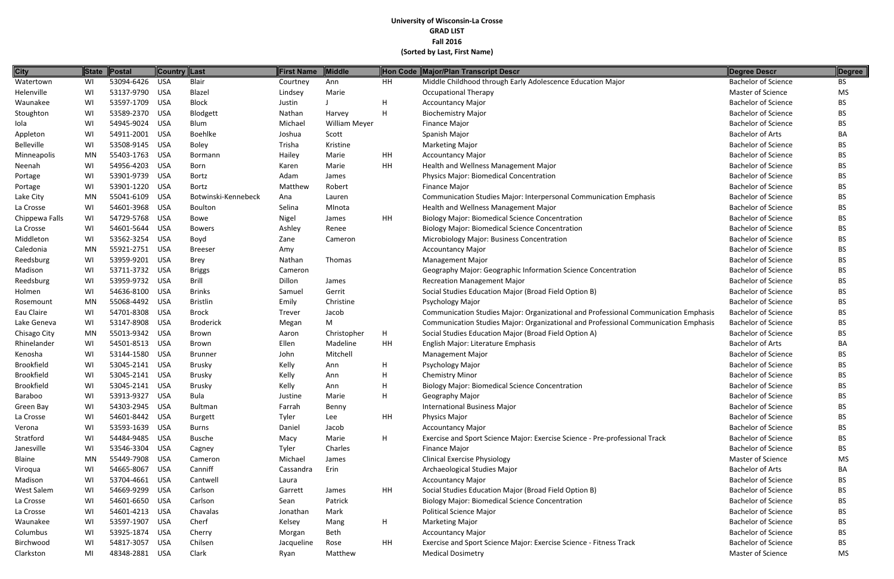| <b>City</b>       |    | State Postal   | Country Last |                     | <b>First Name</b> | <b>Middle</b> |               | Hon Code Major/Plan Transcript Descr                                                | Degree Descr               | Degree    |
|-------------------|----|----------------|--------------|---------------------|-------------------|---------------|---------------|-------------------------------------------------------------------------------------|----------------------------|-----------|
| Watertown         | WI | 53094-6426     | <b>USA</b>   | Blair               | Courtney          | Ann           | <b>HH</b>     | Middle Childhood through Early Adolescence Education Major                          | <b>Bachelor of Science</b> | <b>BS</b> |
| Helenville        | WI | 53137-9790 USA |              | Blazel              | Lindsey           | Marie         |               | <b>Occupational Therapy</b>                                                         | Master of Science          | MS        |
| Waunakee          | WI | 53597-1709 USA |              | <b>Block</b>        | Justin            |               | H             | <b>Accountancy Major</b>                                                            | <b>Bachelor of Science</b> | <b>BS</b> |
| Stoughton         | WI | 53589-2370     | USA          | Blodgett            | Nathan            | Harvey        | H             | <b>Biochemistry Major</b>                                                           | <b>Bachelor of Science</b> | <b>BS</b> |
| Iola              | WI | 54945-9024 USA |              | Blum                | Michael           | William Meyer |               | Finance Major                                                                       | <b>Bachelor of Science</b> | <b>BS</b> |
| Appleton          | WI | 54911-2001     | USA          | Boehlke             | Joshua            | Scott         |               | Spanish Major                                                                       | <b>Bachelor of Arts</b>    | BA        |
| <b>Belleville</b> | WI | 53508-9145 USA |              | <b>Boley</b>        | Trisha            | Kristine      |               | <b>Marketing Major</b>                                                              | <b>Bachelor of Science</b> | <b>BS</b> |
| Minneapolis       | MN | 55403-1763 USA |              | Bormann             | Hailey            | Marie         | HH            | <b>Accountancy Major</b>                                                            | <b>Bachelor of Science</b> | <b>BS</b> |
| Neenah            | WI | 54956-4203     | USA          | Born                | Karen             | Marie         | $\mathsf{HH}$ | Health and Wellness Management Major                                                | <b>Bachelor of Science</b> | <b>BS</b> |
| Portage           | WI | 53901-9739     | <b>USA</b>   | Bortz               | Adam              | James         |               | Physics Major: Biomedical Concentration                                             | <b>Bachelor of Science</b> | <b>BS</b> |
| Portage           | WI | 53901-1220     | <b>USA</b>   | Bortz               | Matthew           | Robert        |               | <b>Finance Major</b>                                                                | <b>Bachelor of Science</b> | <b>BS</b> |
| Lake City         | MN | 55041-6109     | <b>USA</b>   | Botwinski-Kennebeck | Ana               | Lauren        |               | Communication Studies Major: Interpersonal Communication Emphasis                   | <b>Bachelor of Science</b> | <b>BS</b> |
| La Crosse         | WI | 54601-3968 USA |              | <b>Boulton</b>      | Selina            | MInota        |               | Health and Wellness Management Major                                                | <b>Bachelor of Science</b> | <b>BS</b> |
| Chippewa Falls    | WI | 54729-5768     | USA          | Bowe                | Nigel             | James         | <b>HH</b>     | <b>Biology Major: Biomedical Science Concentration</b>                              | <b>Bachelor of Science</b> | <b>BS</b> |
| La Crosse         | WI | 54601-5644 USA |              | <b>Bowers</b>       | Ashley            | Renee         |               | <b>Biology Major: Biomedical Science Concentration</b>                              | <b>Bachelor of Science</b> | <b>BS</b> |
| Middleton         | WI | 53562-3254 USA |              | Boyd                | Zane              | Cameron       |               | Microbiology Major: Business Concentration                                          | <b>Bachelor of Science</b> | <b>BS</b> |
| Caledonia         | MN | 55921-2751     | <b>USA</b>   | <b>Breeser</b>      | Amy               |               |               | <b>Accountancy Major</b>                                                            | <b>Bachelor of Science</b> | <b>BS</b> |
| Reedsburg         | WI | 53959-9201     | USA          | <b>Brey</b>         | Nathan            | Thomas        |               | <b>Management Major</b>                                                             | <b>Bachelor of Science</b> | <b>BS</b> |
| Madison           | WI | 53711-3732     | USA          | <b>Briggs</b>       | Cameron           |               |               | Geography Major: Geographic Information Science Concentration                       | <b>Bachelor of Science</b> | <b>BS</b> |
| Reedsburg         | WI | 53959-9732 USA |              | <b>Brill</b>        | Dillon            | James         |               | <b>Recreation Management Major</b>                                                  | <b>Bachelor of Science</b> | <b>BS</b> |
| Holmen            | WI | 54636-8100 USA |              | <b>Brinks</b>       | Samuel            | Gerrit        |               | Social Studies Education Major (Broad Field Option B)                               | <b>Bachelor of Science</b> | BS.       |
| Rosemount         | MN | 55068-4492     | USA          | <b>Bristlin</b>     | Emily             | Christine     |               | Psychology Major                                                                    | <b>Bachelor of Science</b> | <b>BS</b> |
| Eau Claire        | WI | 54701-8308 USA |              | <b>Brock</b>        | Trever            | Jacob         |               | Communication Studies Major: Organizational and Professional Communication Emphasis | <b>Bachelor of Science</b> | <b>BS</b> |
| Lake Geneva       | WI | 53147-8908     | <b>USA</b>   | <b>Broderick</b>    | Megan             | M             |               | Communication Studies Major: Organizational and Professional Communication Emphasis | <b>Bachelor of Science</b> | <b>BS</b> |
| Chisago City      | MN | 55013-9342     | USA          | Brown               | Aaron             | Christopher   | H             | Social Studies Education Major (Broad Field Option A)                               | <b>Bachelor of Science</b> | <b>BS</b> |
| Rhinelander       | WI | 54501-8513     | <b>USA</b>   | Brown               | Ellen             | Madeline      | HH            | English Major: Literature Emphasis                                                  | <b>Bachelor of Arts</b>    | BA        |
| Kenosha           | WI | 53144-1580     | <b>USA</b>   | <b>Brunner</b>      | John              | Mitchell      |               | Management Major                                                                    | <b>Bachelor of Science</b> | <b>BS</b> |
| <b>Brookfield</b> | WI | 53045-2141 USA |              | Brusky              | Kelly             | Ann           | н             | Psychology Major                                                                    | <b>Bachelor of Science</b> | <b>BS</b> |
| <b>Brookfield</b> | WI | 53045-2141     | USA          | Brusky              | Kelly             | Ann           | H             | <b>Chemistry Minor</b>                                                              | <b>Bachelor of Science</b> | <b>BS</b> |
| <b>Brookfield</b> | WI | 53045-2141     | USA          | <b>Brusky</b>       | Kelly             | Ann           | н             | <b>Biology Major: Biomedical Science Concentration</b>                              | <b>Bachelor of Science</b> | <b>BS</b> |
| Baraboo           | WI | 53913-9327 USA |              | Bula                | Justine           | Marie         | H             | Geography Major                                                                     | <b>Bachelor of Science</b> | <b>BS</b> |
| Green Bay         | WI | 54303-2945 USA |              | Bultman             | Farrah            | Benny         |               | <b>International Business Major</b>                                                 | <b>Bachelor of Science</b> | <b>BS</b> |
| La Crosse         | WI | 54601-8442 USA |              | <b>Burgett</b>      | Tyler             | Lee           | HH            | Physics Major                                                                       | <b>Bachelor of Science</b> | <b>BS</b> |
| Verona            | WI | 53593-1639 USA |              | Burns               | Daniel            | Jacob         |               | <b>Accountancy Major</b>                                                            | <b>Bachelor of Science</b> | <b>BS</b> |
| Stratford         | WI | 54484-9485 USA |              | Busche              | Macy              | Marie         | H             | Exercise and Sport Science Major: Exercise Science - Pre-professional Track         | <b>Bachelor of Science</b> | <b>BS</b> |
| Janesville        | WI | 53546-3304 USA |              | Cagney              | Tyler             | Charles       |               | <b>Finance Major</b>                                                                | <b>Bachelor of Science</b> | <b>BS</b> |
| Blaine            | MN | 55449-7908 USA |              | Cameron             | Michael           | James         |               | <b>Clinical Exercise Physiology</b>                                                 | Master of Science          | MS        |
| Viroqua           | WI | 54665-8067     | USA          | Canniff             | Cassandra         | Erin          |               | Archaeological Studies Major                                                        | <b>Bachelor of Arts</b>    | BA        |
| Madison           | WI | 53704-4661 USA |              | Cantwell            | Laura             |               |               | <b>Accountancy Major</b>                                                            | <b>Bachelor of Science</b> | <b>BS</b> |
| West Salem        | WI | 54669-9299 USA |              | Carlson             | Garrett           | James         | <b>HH</b>     | Social Studies Education Major (Broad Field Option B)                               | <b>Bachelor of Science</b> | <b>BS</b> |
| La Crosse         | WI | 54601-6650 USA |              | Carlson             | Sean              | Patrick       |               | <b>Biology Major: Biomedical Science Concentration</b>                              | <b>Bachelor of Science</b> | <b>BS</b> |
| La Crosse         | WI | 54601-4213 USA |              | Chavalas            | Jonathan          | Mark          |               | <b>Political Science Major</b>                                                      | <b>Bachelor of Science</b> | <b>BS</b> |
| Waunakee          | WI | 53597-1907 USA |              | Cherf               | Kelsey            | Mang          | H             | <b>Marketing Major</b>                                                              | <b>Bachelor of Science</b> | <b>BS</b> |
| Columbus          | WI | 53925-1874 USA |              | Cherry              | Morgan            | Beth          |               | <b>Accountancy Major</b>                                                            | <b>Bachelor of Science</b> | <b>BS</b> |
| Birchwood         | WI | 54817-3057     | <b>USA</b>   | Chilsen             | Jacqueline        | Rose          | HH            | Exercise and Sport Science Major: Exercise Science - Fitness Track                  | <b>Bachelor of Science</b> | <b>BS</b> |
| Clarkston         | MI | 48348-2881 USA |              | Clark               | Ryan              | Matthew       |               | <b>Medical Dosimetry</b>                                                            | Master of Science          | MS        |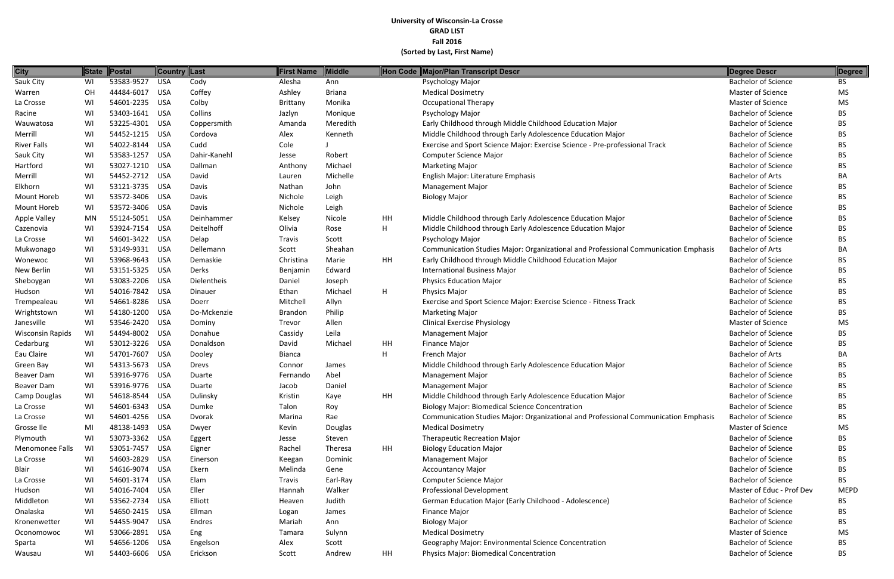| <b>City</b>             |           | State Postal   | ∥Country ∥Last |              | First Name     | Middle        |    | Hon Code Major/Plan Transcript Descr                                                | Degree Descr               | Degree      |
|-------------------------|-----------|----------------|----------------|--------------|----------------|---------------|----|-------------------------------------------------------------------------------------|----------------------------|-------------|
| Sauk City               | WI        | 53583-9527     | <b>USA</b>     | Cody         | Alesha         | Ann           |    | Psychology Major                                                                    | <b>Bachelor of Science</b> | BS          |
| Warren                  | OH        | 44484-6017     | <b>USA</b>     | Coffey       | Ashley         | <b>Briana</b> |    | <b>Medical Dosimetry</b>                                                            | Master of Science          | MS          |
| La Crosse               | WI        | 54601-2235 USA |                | Colby        | Brittany       | Monika        |    | <b>Occupational Therapy</b>                                                         | Master of Science          | <b>MS</b>   |
| Racine                  | WI        | 53403-1641 USA |                | Collins      | Jazlyn         | Monique       |    | Psychology Major                                                                    | <b>Bachelor of Science</b> | BS.         |
| Wauwatosa               | WI        | 53225-4301 USA |                | Coppersmith  | Amanda         | Meredith      |    | Early Childhood through Middle Childhood Education Major                            | <b>Bachelor of Science</b> | <b>BS</b>   |
| Merrill                 | WI        | 54452-1215     | USA            | Cordova      | Alex           | Kenneth       |    | Middle Childhood through Early Adolescence Education Major                          | <b>Bachelor of Science</b> | <b>BS</b>   |
| <b>River Falls</b>      | WI        | 54022-8144     | USA            | Cudd         | Cole           |               |    | Exercise and Sport Science Major: Exercise Science - Pre-professional Track         | <b>Bachelor of Science</b> | <b>BS</b>   |
| Sauk City               | WI        | 53583-1257     | <b>USA</b>     | Dahir-Kanehl | Jesse          | Robert        |    | Computer Science Major                                                              | <b>Bachelor of Science</b> | <b>BS</b>   |
| Hartford                | WI        | 53027-1210 USA |                | Dallman      | Anthony        | Michael       |    | <b>Marketing Major</b>                                                              | <b>Bachelor of Science</b> | <b>BS</b>   |
| Merrill                 | WI        | 54452-2712 USA |                | David        | Lauren         | Michelle      |    | English Major: Literature Emphasis                                                  | <b>Bachelor of Arts</b>    | BA          |
| Elkhorn                 | WI        | 53121-3735     | USA            | Davis        | Nathan         | John          |    | <b>Management Major</b>                                                             | <b>Bachelor of Science</b> | <b>BS</b>   |
| Mount Horeb             | WI        | 53572-3406 USA |                | Davis        | Nichole        | Leigh         |    | <b>Biology Major</b>                                                                | <b>Bachelor of Science</b> | <b>BS</b>   |
| Mount Horeb             | WI        | 53572-3406     | <b>USA</b>     | Davis        | Nichole        | Leigh         |    |                                                                                     | <b>Bachelor of Science</b> | <b>BS</b>   |
| <b>Apple Valley</b>     | <b>MN</b> | 55124-5051 USA |                | Deinhammer   | Kelsey         | Nicole        | HH | Middle Childhood through Early Adolescence Education Major                          | <b>Bachelor of Science</b> | <b>BS</b>   |
| Cazenovia               | WI        | 53924-7154 USA |                | Deitelhoff   | Olivia         | Rose          | H  | Middle Childhood through Early Adolescence Education Major                          | <b>Bachelor of Science</b> | <b>BS</b>   |
| La Crosse               | WI        | 54601-3422     | USA            | Delap        | Travis         | Scott         |    | Psychology Major                                                                    | <b>Bachelor of Science</b> | <b>BS</b>   |
| Mukwonago               | WI        | 53149-9331 USA |                | Dellemann    | Scott          | Sheahan       |    | Communication Studies Major: Organizational and Professional Communication Emphasis | <b>Bachelor of Arts</b>    | BA          |
| Wonewoc                 | WI        | 53968-9643     | USA            | Demaskie     | Christina      | Marie         | HH | Early Childhood through Middle Childhood Education Major                            | <b>Bachelor of Science</b> | <b>BS</b>   |
| New Berlin              | WI        | 53151-5325     | USA            | Derks        | Benjamin       | Edward        |    | <b>International Business Major</b>                                                 | <b>Bachelor of Science</b> | <b>BS</b>   |
| Sheboygan               | WI        | 53083-2206     | USA            | Dielentheis  | Daniel         | Joseph        |    | <b>Physics Education Major</b>                                                      | <b>Bachelor of Science</b> | <b>BS</b>   |
| Hudson                  | WI        | 54016-7842 USA |                | Dinauer      | Ethan          | Michael       | H  | <b>Physics Major</b>                                                                | <b>Bachelor of Science</b> | <b>BS</b>   |
| Trempealeau             | WI        | 54661-8286 USA |                | Doerr        | Mitchell       | Allyn         |    | Exercise and Sport Science Major: Exercise Science - Fitness Track                  | <b>Bachelor of Science</b> | <b>BS</b>   |
| Wrightstown             | WI        | 54180-1200     | USA            | Do-Mckenzie  | <b>Brandon</b> | Philip        |    | <b>Marketing Major</b>                                                              | <b>Bachelor of Science</b> | <b>BS</b>   |
| Janesville              | WI        | 53546-2420     | USA            | Dominy       | Trevor         | Allen         |    | <b>Clinical Exercise Physiology</b>                                                 | Master of Science          | MS          |
| <b>Wisconsin Rapids</b> | WI        | 54494-8002 USA |                | Donahue      | Cassidy        | Leila         |    | <b>Management Major</b>                                                             | <b>Bachelor of Science</b> | <b>BS</b>   |
| Cedarburg               | WI        | 53012-3226     | USA            | Donaldson    | David          | Michael       | HH | <b>Finance Major</b>                                                                | <b>Bachelor of Science</b> | <b>BS</b>   |
| Eau Claire              | WI        | 54701-7607     | USA            | Dooley       | <b>Bianca</b>  |               | H  | French Major                                                                        | <b>Bachelor of Arts</b>    | BA          |
| Green Bay               | WI        | 54313-5673     | <b>USA</b>     | <b>Drevs</b> | Connor         | James         |    | Middle Childhood through Early Adolescence Education Major                          | <b>Bachelor of Science</b> | <b>BS</b>   |
| Beaver Dam              | WI        | 53916-9776     | USA            | Duarte       | Fernando       | Abel          |    | <b>Management Major</b>                                                             | <b>Bachelor of Science</b> | <b>BS</b>   |
| Beaver Dam              | WI        | 53916-9776 USA |                | Duarte       | Jacob          | Daniel        |    | Management Major                                                                    | <b>Bachelor of Science</b> | <b>BS</b>   |
| Camp Douglas            | WI        | 54618-8544 USA |                | Dulinsky     | Kristin        | Kaye          | HH | Middle Childhood through Early Adolescence Education Major                          | <b>Bachelor of Science</b> | <b>BS</b>   |
| La Crosse               | WI        | 54601-6343 USA |                | Dumke        | Talon          | Roy           |    | <b>Biology Major: Biomedical Science Concentration</b>                              | <b>Bachelor of Science</b> | <b>BS</b>   |
| La Crosse               | WI        | 54601-4256 USA |                | Dvorak       | Marina         | Rae           |    | Communication Studies Major: Organizational and Professional Communication Emphasis | <b>Bachelor of Science</b> | <b>BS</b>   |
| Grosse Ile              | MI        | 48138-1493 USA |                | Dwyer        | Kevin          | Douglas       |    | <b>Medical Dosimetry</b>                                                            | Master of Science          | MS          |
| Plymouth                | WI        | 53073-3362 USA |                | Eggert       | Jesse          | Steven        |    | <b>Therapeutic Recreation Major</b>                                                 | <b>Bachelor of Science</b> | <b>BS</b>   |
| Menomonee Falls         | WI        | 53051-7457     | USA            | Eigner       | Rachel         | Theresa       | HH | <b>Biology Education Major</b>                                                      | <b>Bachelor of Science</b> | <b>BS</b>   |
| La Crosse               | WI        | 54603-2829     | USA            | Einerson     | Keegan         | Dominic       |    | Management Major                                                                    | <b>Bachelor of Science</b> | <b>BS</b>   |
| Blair                   | WI        | 54616-9074 USA |                | Ekern        | Melinda        | Gene          |    | <b>Accountancy Major</b>                                                            | <b>Bachelor of Science</b> | <b>BS</b>   |
| La Crosse               | WI        | 54601-3174 USA |                | Elam         | Travis         | Earl-Ray      |    | Computer Science Major                                                              | <b>Bachelor of Science</b> | <b>BS</b>   |
| Hudson                  | WI        | 54016-7404 USA |                | Eller        | Hannah         | Walker        |    | Professional Development                                                            | Master of Educ - Prof Dev  | <b>MEPD</b> |
| Middleton               | WI        | 53562-2734 USA |                | Elliott      | Heaven         | Judith        |    | German Education Major (Early Childhood - Adolescence)                              | <b>Bachelor of Science</b> | <b>BS</b>   |
| Onalaska                | WI        | 54650-2415 USA |                | Ellman       | Logan          | James         |    | Finance Major                                                                       | <b>Bachelor of Science</b> | BS.         |
| Kronenwetter            | WI        | 54455-9047 USA |                | Endres       | Mariah         | Ann           |    | <b>Biology Major</b>                                                                | <b>Bachelor of Science</b> | <b>BS</b>   |
| Oconomowoc              | WI        | 53066-2891 USA |                | Eng          | Tamara         | Sulynn        |    | <b>Medical Dosimetry</b>                                                            | Master of Science          | MS          |
| Sparta                  | WI        | 54656-1206 USA |                | Engelson     | Alex           | Scott         |    | Geography Major: Environmental Science Concentration                                | <b>Bachelor of Science</b> | <b>BS</b>   |
| Wausau                  | WI        | 54403-6606 USA |                | Erickson     | Scott          | Andrew        | HH | Physics Major: Biomedical Concentration                                             | <b>Bachelor of Science</b> | <b>BS</b>   |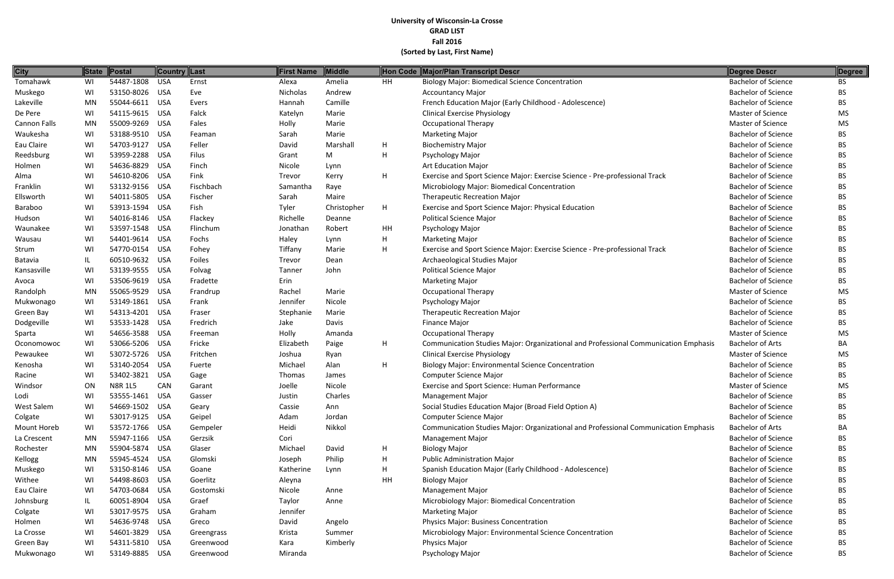| <b>City</b>  | <b>State</b> | Postal         | Country Last |              | <b>First Name</b> | <b>Middle</b> |    | Hon Code Major/Plan Transcript Descr                                                | Degree Descr               | Degree    |
|--------------|--------------|----------------|--------------|--------------|-------------------|---------------|----|-------------------------------------------------------------------------------------|----------------------------|-----------|
| Tomahawk     | WI           | 54487-1808     | <b>USA</b>   | Ernst        | Alexa             | Amelia        | HH | <b>Biology Major: Biomedical Science Concentration</b>                              | <b>Bachelor of Science</b> | <b>BS</b> |
| Muskego      | WI           | 53150-8026     | USA          | Eve          | Nicholas          | Andrew        |    | <b>Accountancy Major</b>                                                            | <b>Bachelor of Science</b> | <b>BS</b> |
| Lakeville    | MN           | 55044-6611     | <b>USA</b>   | Evers        | Hannah            | Camille       |    | French Education Major (Early Childhood - Adolescence)                              | <b>Bachelor of Science</b> | <b>BS</b> |
| De Pere      | WI           | 54115-9615     | <b>USA</b>   | Falck        | Katelyn           | Marie         |    | <b>Clinical Exercise Physiology</b>                                                 | Master of Science          | <b>MS</b> |
| Cannon Falls | <b>MN</b>    | 55009-9269     | USA          | Fales        | Holly             | Marie         |    | <b>Occupational Therapy</b>                                                         | Master of Science          | <b>MS</b> |
| Waukesha     | WI           | 53188-9510 USA |              | Feaman       | Sarah             | Marie         |    | <b>Marketing Major</b>                                                              | <b>Bachelor of Science</b> | <b>BS</b> |
| Eau Claire   | WI           | 54703-9127     | <b>USA</b>   | Feller       | David             | Marshall      | H  | <b>Biochemistry Major</b>                                                           | <b>Bachelor of Science</b> | <b>BS</b> |
| Reedsburg    | WI           | 53959-2288     | <b>USA</b>   | <b>Filus</b> | Grant             | M             | H  | Psychology Major                                                                    | <b>Bachelor of Science</b> | <b>BS</b> |
| Holmen       | WI           | 54636-8829     | <b>USA</b>   | Finch        | Nicole            | Lynn          |    | <b>Art Education Major</b>                                                          | <b>Bachelor of Science</b> | <b>BS</b> |
| Alma         | WI           | 54610-8206     | USA          | Fink         | Trevor            | Kerry         | H  | Exercise and Sport Science Major: Exercise Science - Pre-professional Track         | <b>Bachelor of Science</b> | <b>BS</b> |
| Franklin     | WI           | 53132-9156 USA |              | Fischbach    | Samantha          | Raye          |    | Microbiology Major: Biomedical Concentration                                        | <b>Bachelor of Science</b> | <b>BS</b> |
| Ellsworth    | WI           | 54011-5805     | USA          | Fischer      | Sarah             | Maire         |    | Therapeutic Recreation Major                                                        | <b>Bachelor of Science</b> | <b>BS</b> |
| Baraboo      | WI           | 53913-1594     | USA          | Fish         | Tyler             | Christopher   | H  | Exercise and Sport Science Major: Physical Education                                | <b>Bachelor of Science</b> | <b>BS</b> |
| Hudson       | WI           | 54016-8146 USA |              | Flackey      | Richelle          | Deanne        |    | <b>Political Science Major</b>                                                      | <b>Bachelor of Science</b> | <b>BS</b> |
| Waunakee     | WI           | 53597-1548 USA |              | Flinchum     | Jonathan          | Robert        | HH | Psychology Major                                                                    | <b>Bachelor of Science</b> | <b>BS</b> |
| Wausau       | WI           | 54401-9614     | <b>USA</b>   | Fochs        | Haley             | Lynn          | H  | <b>Marketing Major</b>                                                              | <b>Bachelor of Science</b> | BS        |
| Strum        | WI           | 54770-0154     | <b>USA</b>   | Fohey        | Tiffany           | Marie         | H  | Exercise and Sport Science Major: Exercise Science - Pre-professional Track         | <b>Bachelor of Science</b> | <b>BS</b> |
| Batavia      | IL           | 60510-9632     | <b>USA</b>   | Foiles       | Trevor            | Dean          |    | Archaeological Studies Major                                                        | <b>Bachelor of Science</b> | <b>BS</b> |
| Kansasville  | WI           | 53139-9555 USA |              | Folvag       | Tanner            | John          |    | <b>Political Science Major</b>                                                      | <b>Bachelor of Science</b> | <b>BS</b> |
| Avoca        | WI           | 53506-9619     | USA          | Fradette     | Erin              |               |    | <b>Marketing Major</b>                                                              | <b>Bachelor of Science</b> | <b>BS</b> |
| Randolph     | <b>MN</b>    | 55065-9529     | <b>USA</b>   | Frandrup     | Rachel            | Marie         |    | <b>Occupational Therapy</b>                                                         | Master of Science          | <b>MS</b> |
| Mukwonago    | WI           | 53149-1861     | USA          | Frank        | Jennifer          | Nicole        |    | Psychology Major                                                                    | <b>Bachelor of Science</b> | <b>BS</b> |
| Green Bay    | WI           | 54313-4201     | USA          | Fraser       | Stephanie         | Marie         |    | Therapeutic Recreation Major                                                        | <b>Bachelor of Science</b> | <b>BS</b> |
| Dodgeville   | WI           | 53533-1428     | <b>USA</b>   | Fredrich     | Jake              | Davis         |    | Finance Major                                                                       | <b>Bachelor of Science</b> | BS.       |
| Sparta       | WI           | 54656-3588     | <b>USA</b>   | Freeman      | Holly             | Amanda        |    | <b>Occupational Therapy</b>                                                         | Master of Science          | <b>MS</b> |
| Oconomowoc   | WI           | 53066-5206     | <b>USA</b>   | Fricke       | Elizabeth         | Paige         | H  | Communication Studies Major: Organizational and Professional Communication Emphasis | <b>Bachelor of Arts</b>    | BA        |
| Pewaukee     | WI           | 53072-5726     | USA          | Fritchen     | Joshua            | Ryan          |    | <b>Clinical Exercise Physiology</b>                                                 | Master of Science          | MS        |
| Kenosha      | WI           | 53140-2054     | USA          | Fuerte       | Michael           | Alan          | H  | <b>Biology Major: Environmental Science Concentration</b>                           | <b>Bachelor of Science</b> | <b>BS</b> |
| Racine       | WI           | 53402-3821     | <b>USA</b>   | Gage         | Thomas            | James         |    | Computer Science Major                                                              | <b>Bachelor of Science</b> | BS.       |
| Windsor      | ON           | <b>N8R 1L5</b> | CAN          | Garant       | Joelle            | Nicole        |    | <b>Exercise and Sport Science: Human Performance</b>                                | Master of Science          | <b>MS</b> |
| Lodi         | WI           | 53555-1461 USA |              | Gasser       | Justin            | Charles       |    | <b>Management Major</b>                                                             | <b>Bachelor of Science</b> | <b>BS</b> |
| West Salem   | WI           | 54669-1502 USA |              | Geary        | Cassie            | Ann           |    | Social Studies Education Major (Broad Field Option A)                               | <b>Bachelor of Science</b> | <b>BS</b> |
| Colgate      | WI           | 53017-9125 USA |              | Geipel       | Adam              | Jordan        |    | Computer Science Major                                                              | <b>Bachelor of Science</b> | <b>BS</b> |
| Mount Horeb  | WI           | 53572-1766 USA |              | Gempeler     | Heidi             | Nikkol        |    | Communication Studies Major: Organizational and Professional Communication Emphasis | <b>Bachelor of Arts</b>    | BA        |
| La Crescent  | MN           | 55947-1166 USA |              | Gerzsik      | Cori              |               |    | <b>Management Major</b>                                                             | <b>Bachelor of Science</b> | <b>BS</b> |
| Rochester    | MN           | 55904-5874 USA |              | Glaser       | Michael           | David         | H  | <b>Biology Major</b>                                                                | <b>Bachelor of Science</b> | <b>BS</b> |
| Kellogg      | MN           | 55945-4524 USA |              | Glomski      | Joseph            | Philip        | H  | <b>Public Administration Major</b>                                                  | <b>Bachelor of Science</b> | <b>BS</b> |
| Muskego      | WI           | 53150-8146 USA |              | Goane        | Katherine         | Lynn          | H  | Spanish Education Major (Early Childhood - Adolescence)                             | <b>Bachelor of Science</b> | <b>BS</b> |
| Withee       | WI           | 54498-8603 USA |              | Goerlitz     | Aleyna            |               | HH | <b>Biology Major</b>                                                                | <b>Bachelor of Science</b> | <b>BS</b> |
| Eau Claire   | WI           | 54703-0684 USA |              | Gostomski    | Nicole            | Anne          |    | <b>Management Major</b>                                                             | <b>Bachelor of Science</b> | <b>BS</b> |
| Johnsburg    | IL           | 60051-8904     | USA          | Graef        | Taylor            | Anne          |    | Microbiology Major: Biomedical Concentration                                        | <b>Bachelor of Science</b> | <b>BS</b> |
| Colgate      | WI           | 53017-9575 USA |              | Graham       | Jennifer          |               |    | <b>Marketing Major</b>                                                              | <b>Bachelor of Science</b> | <b>BS</b> |
| Holmen       | WI           | 54636-9748 USA |              | Greco        | David             | Angelo        |    | Physics Major: Business Concentration                                               | <b>Bachelor of Science</b> | <b>BS</b> |
| La Crosse    | WI           | 54601-3829 USA |              | Greengrass   | Krista            | Summer        |    | Microbiology Major: Environmental Science Concentration                             | <b>Bachelor of Science</b> | <b>BS</b> |
| Green Bay    | WI           | 54311-5810 USA |              | Greenwood    | Kara              | Kimberly      |    | Physics Major                                                                       | <b>Bachelor of Science</b> | <b>BS</b> |
| Mukwonago    | WI           | 53149-8885 USA |              | Greenwood    | Miranda           |               |    | Psychology Major                                                                    | <b>Bachelor of Science</b> | <b>BS</b> |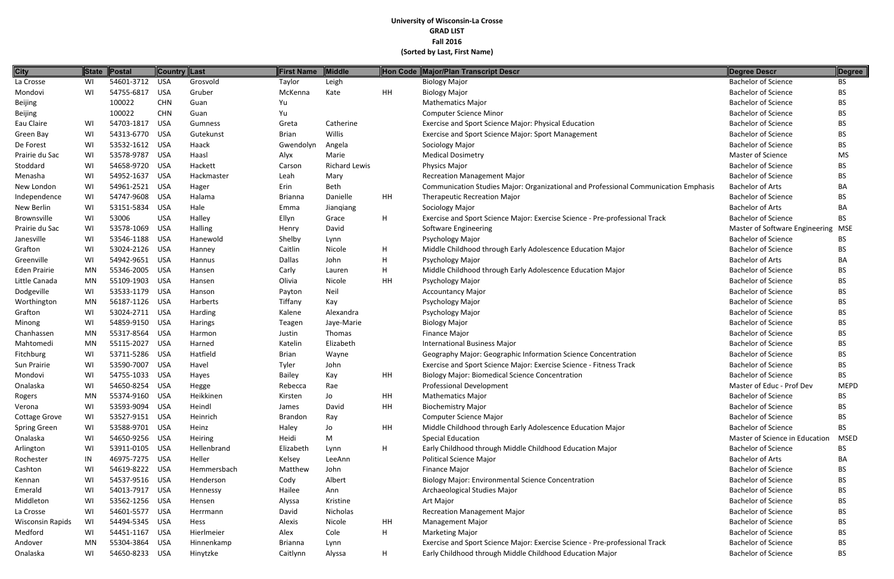| <b>City</b>                |           | State Postal                     | ∥Country ∥Last |                | <b>First Name</b> | <b>Middle</b>        |    | Hon Code Major/Plan Transcript Descr                                                | Degree Descr                       | Degree      |
|----------------------------|-----------|----------------------------------|----------------|----------------|-------------------|----------------------|----|-------------------------------------------------------------------------------------|------------------------------------|-------------|
| La Crosse                  | WI        | 54601-3712                       | <b>USA</b>     | Grosvold       | Taylor            | Leigh                |    | <b>Biology Major</b>                                                                | <b>Bachelor of Science</b>         | <b>BS</b>   |
| Mondovi                    | WI        | 54755-6817                       | <b>USA</b>     | Gruber         | McKenna           | Kate                 | HH | <b>Biology Major</b>                                                                | <b>Bachelor of Science</b>         | <b>BS</b>   |
| Beijing                    |           | 100022                           | <b>CHN</b>     | Guan           | Yu                |                      |    | <b>Mathematics Major</b>                                                            | <b>Bachelor of Science</b>         | <b>BS</b>   |
| Beijing                    |           | 100022                           | <b>CHN</b>     | Guan           | Yu                |                      |    | <b>Computer Science Minor</b>                                                       | <b>Bachelor of Science</b>         | BS          |
| Eau Claire                 | WI        | 54703-1817                       | <b>USA</b>     | Gumness        | Greta             | Catherine            |    | Exercise and Sport Science Major: Physical Education                                | <b>Bachelor of Science</b>         | <b>BS</b>   |
| Green Bay                  | WI        | 54313-6770 USA                   |                | Gutekunst      | <b>Brian</b>      | Willis               |    | Exercise and Sport Science Major: Sport Management                                  | <b>Bachelor of Science</b>         | <b>BS</b>   |
| De Forest                  | WI        | 53532-1612 USA                   |                | Haack          | Gwendolyn         | Angela               |    | Sociology Major                                                                     | <b>Bachelor of Science</b>         | <b>BS</b>   |
| Prairie du Sac             | WI        | 53578-9787                       | USA            | Haasl          | Alyx              | Marie                |    | <b>Medical Dosimetry</b>                                                            | Master of Science                  | <b>MS</b>   |
| Stoddard                   | WI        | 54658-9720                       | <b>USA</b>     | Hackett        | Carson            | <b>Richard Lewis</b> |    | Physics Major                                                                       | <b>Bachelor of Science</b>         | <b>BS</b>   |
| Menasha                    | WI        | 54952-1637                       | <b>USA</b>     | Hackmaster     | Leah              | Mary                 |    | <b>Recreation Management Major</b>                                                  | <b>Bachelor of Science</b>         | <b>BS</b>   |
| New London                 | WI        | 54961-2521                       | <b>USA</b>     | Hager          | Erin              | Beth                 |    | Communication Studies Major: Organizational and Professional Communication Emphasis | <b>Bachelor of Arts</b>            | BA          |
|                            | WI        | 54747-9608                       | USA            | Halama         | <b>Brianna</b>    | Danielle             | HH | <b>Therapeutic Recreation Major</b>                                                 | <b>Bachelor of Science</b>         | <b>BS</b>   |
| Independence<br>New Berlin | WI        | 53151-5834                       | <b>USA</b>     | Hale           | Emma              |                      |    | Sociology Major                                                                     | <b>Bachelor of Arts</b>            | BA          |
| Brownsville                | WI        | 53006                            | <b>USA</b>     | Halley         | Ellyn             | Jianqiang<br>Grace   | H  | Exercise and Sport Science Major: Exercise Science - Pre-professional Track         | <b>Bachelor of Science</b>         | <b>BS</b>   |
|                            |           | 53578-1069                       |                |                |                   | David                |    |                                                                                     | Master of Software Engineering MSE |             |
| Prairie du Sac             | WI        | 53546-1188 USA                   | <b>USA</b>     | <b>Halling</b> | Henry             |                      |    | Software Engineering                                                                |                                    |             |
| Janesville                 | WI        |                                  |                | Hanewold       | Shelby            | Lynn                 |    | Psychology Major                                                                    | <b>Bachelor of Science</b>         | BS.         |
| Grafton                    | WI        | 53024-2126 USA<br>54942-9651 USA |                | Hanney         | Caitlin           | Nicole               | H  | Middle Childhood through Early Adolescence Education Major                          | <b>Bachelor of Science</b>         | <b>BS</b>   |
| Greenville                 | WI        |                                  |                | Hannus         | Dallas            | John                 | H  | Psychology Major                                                                    | <b>Bachelor of Arts</b>            | BA          |
| Eden Prairie               | <b>MN</b> | 55346-2005                       | <b>USA</b>     | Hansen         | Carly             | Lauren               | H  | Middle Childhood through Early Adolescence Education Major                          | <b>Bachelor of Science</b>         | BS          |
| Little Canada              | <b>MN</b> | 55109-1903                       | <b>USA</b>     | Hansen         | Olivia            | Nicole               | HH | Psychology Major                                                                    | <b>Bachelor of Science</b>         | BS          |
| Dodgeville                 | WI        | 53533-1179 USA                   |                | Hanson         | Payton            | Neil                 |    | <b>Accountancy Major</b>                                                            | <b>Bachelor of Science</b>         | <b>BS</b>   |
| Worthington                | MN        | 56187-1126                       | USA            | Harberts       | Tiffany           | Kay                  |    | Psychology Major                                                                    | <b>Bachelor of Science</b>         | <b>BS</b>   |
| Grafton                    | WI        | 53024-2711 USA                   |                | Harding        | Kalene            | Alexandra            |    | Psychology Major                                                                    | <b>Bachelor of Science</b>         | <b>BS</b>   |
| Minong                     | WI        | 54859-9150                       | USA            | <b>Harings</b> | Teagen            | Jaye-Marie           |    | <b>Biology Major</b>                                                                | <b>Bachelor of Science</b>         | <b>BS</b>   |
| Chanhassen                 | <b>MN</b> | 55317-8564                       | <b>USA</b>     | Harmon         | Justin            | Thomas               |    | Finance Major                                                                       | <b>Bachelor of Science</b>         | <b>BS</b>   |
| Mahtomedi                  | <b>MN</b> | 55115-2027                       | <b>USA</b>     | Harned         | Katelin           | Elizabeth            |    | <b>International Business Major</b>                                                 | <b>Bachelor of Science</b>         | <b>BS</b>   |
| Fitchburg                  | WI        | 53711-5286                       | <b>USA</b>     | Hatfield       | <b>Brian</b>      | Wayne                |    | Geography Major: Geographic Information Science Concentration                       | <b>Bachelor of Science</b>         | <b>BS</b>   |
| Sun Prairie                | WI        | 53590-7007                       | <b>USA</b>     | Havel          | Tyler             | John                 |    | Exercise and Sport Science Major: Exercise Science - Fitness Track                  | <b>Bachelor of Science</b>         | <b>BS</b>   |
| Mondovi                    | WI        | 54755-1033                       | <b>USA</b>     | Hayes          | Bailey            | Kay                  | HH | <b>Biology Major: Biomedical Science Concentration</b>                              | <b>Bachelor of Science</b>         | <b>BS</b>   |
| Onalaska                   | WI        | 54650-8254                       | <b>USA</b>     | Hegge          | Rebecca           | Rae                  |    | <b>Professional Development</b>                                                     | Master of Educ - Prof Dev          | <b>MEPD</b> |
| Rogers                     | <b>MN</b> | 55374-9160 USA                   |                | Heikkinen      | Kirsten           | Jo                   | HH | <b>Mathematics Major</b>                                                            | <b>Bachelor of Science</b>         | <b>BS</b>   |
| Verona                     | WI        | 53593-9094 USA                   |                | Heindl         | James             | David                | HH | <b>Biochemistry Major</b>                                                           | <b>Bachelor of Science</b>         | <b>BS</b>   |
| Cottage Grove              | WI        | 53527-9151 USA                   |                | Heinrich       | Brandon           | Ray                  |    | Computer Science Major                                                              | <b>Bachelor of Science</b>         | <b>BS</b>   |
| Spring Green               | WI        | 53588-9701 USA                   |                | Heinz          | Haley             | Jo                   | HH | Middle Childhood through Early Adolescence Education Major                          | <b>Bachelor of Science</b>         | <b>BS</b>   |
| Onalaska                   | WI        | 54650-9256 USA                   |                | Heiring        | Heidi             | M                    |    | <b>Special Education</b>                                                            | Master of Science in Education     | <b>MSED</b> |
| Arlington                  | WI        | 53911-0105 USA                   |                | Hellenbrand    | Elizabeth         | Lynn                 | H  | Early Childhood through Middle Childhood Education Major                            | <b>Bachelor of Science</b>         | <b>BS</b>   |
| Rochester                  | IN        | 46975-7275 USA                   |                | Heller         | Kelsey            | LeeAnn               |    | <b>Political Science Major</b>                                                      | <b>Bachelor of Arts</b>            | BA          |
| Cashton                    | WI        | 54619-8222 USA                   |                | Hemmersbach    | Matthew           | John                 |    | Finance Major                                                                       | <b>Bachelor of Science</b>         | <b>BS</b>   |
| Kennan                     | WI        | 54537-9516 USA                   |                | Henderson      | Cody              | Albert               |    | <b>Biology Major: Environmental Science Concentration</b>                           | <b>Bachelor of Science</b>         | <b>BS</b>   |
| Emerald                    | WI        | 54013-7917 USA                   |                | Hennessy       | Hailee            | Ann                  |    | Archaeological Studies Major                                                        | <b>Bachelor of Science</b>         | <b>BS</b>   |
| Middleton                  | WI        | 53562-1256 USA                   |                | Hensen         | Alyssa            | Kristine             |    | Art Major                                                                           | <b>Bachelor of Science</b>         | <b>BS</b>   |
| La Crosse                  | WI        | 54601-5577 USA                   |                | Herrmann       | David             | Nicholas             |    | <b>Recreation Management Major</b>                                                  | <b>Bachelor of Science</b>         | BS          |
| <b>Wisconsin Rapids</b>    | WI        | 54494-5345 USA                   |                | Hess           | Alexis            | Nicole               | HH | <b>Management Major</b>                                                             | <b>Bachelor of Science</b>         | <b>BS</b>   |
| Medford                    | WI        | 54451-1167 USA                   |                | Hierlmeier     | Alex              | Cole                 | H  | <b>Marketing Major</b>                                                              | <b>Bachelor of Science</b>         | <b>BS</b>   |
| Andover                    | MN        | 55304-3864 USA                   |                | Hinnenkamp     | <b>Brianna</b>    | Lynn                 |    | Exercise and Sport Science Major: Exercise Science - Pre-professional Track         | <b>Bachelor of Science</b>         | BS          |
| Onalaska                   | WI        | 54650-8233 USA                   |                | Hinytzke       | Caitlynn          | Alyssa               | H  | Early Childhood through Middle Childhood Education Major                            | <b>Bachelor of Science</b>         | <b>BS</b>   |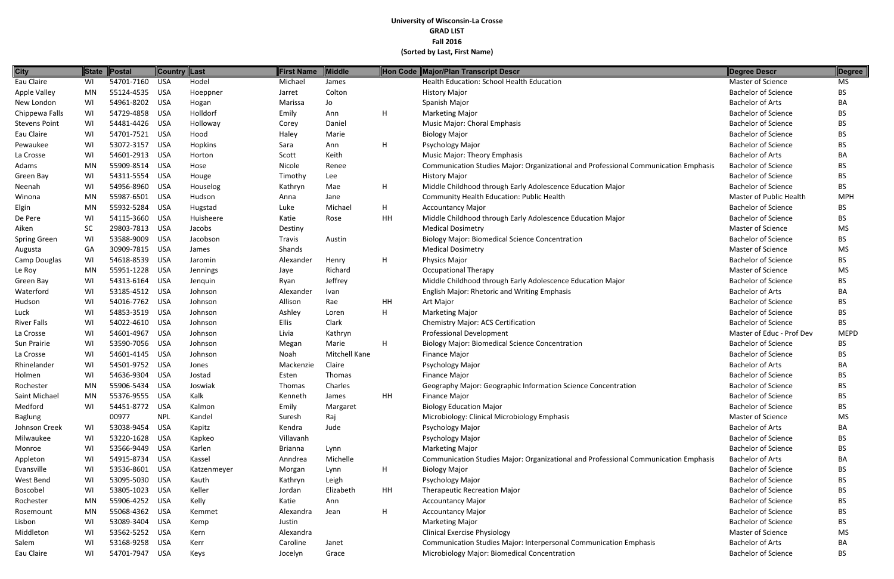| <b>City</b>          | <b>State</b> | Postal         | Country Last |             | First Name     | Middle               |    | Hon Code Major/Plan Transcript Descr                                                | Degree Descr               | Degree      |
|----------------------|--------------|----------------|--------------|-------------|----------------|----------------------|----|-------------------------------------------------------------------------------------|----------------------------|-------------|
| Eau Claire           | WI           | 54701-7160     | <b>USA</b>   | Hodel       | Michael        | James                |    | Health Education: School Health Education                                           | <b>Master of Science</b>   | <b>MS</b>   |
| Apple Valley         | MN           | 55124-4535 USA |              | Hoeppner    | Jarret         | Colton               |    | <b>History Major</b>                                                                | <b>Bachelor of Science</b> | <b>BS</b>   |
| New London           | WI           | 54961-8202     | <b>USA</b>   | Hogan       | Marissa        | Jo                   |    | Spanish Major                                                                       | <b>Bachelor of Arts</b>    | BA          |
| Chippewa Falls       | WI           | 54729-4858     | <b>USA</b>   | Holldorf    | Emily          | Ann                  | H  | <b>Marketing Major</b>                                                              | <b>Bachelor of Science</b> | <b>BS</b>   |
| <b>Stevens Point</b> | WI           | 54481-4426     | <b>USA</b>   | Holloway    | Corey          | Daniel               |    | Music Major: Choral Emphasis                                                        | <b>Bachelor of Science</b> | <b>BS</b>   |
| Eau Claire           | WI           | 54701-7521 USA |              | Hood        | Haley          | Marie                |    | <b>Biology Major</b>                                                                | <b>Bachelor of Science</b> | <b>BS</b>   |
| Pewaukee             | WI           | 53072-3157     | <b>USA</b>   | Hopkins     | Sara           | Ann                  | H  | Psychology Major                                                                    | <b>Bachelor of Science</b> | <b>BS</b>   |
| La Crosse            | WI           | 54601-2913     | <b>USA</b>   | Horton      | Scott          | Keith                |    | <b>Music Major: Theory Emphasis</b>                                                 | <b>Bachelor of Arts</b>    | BA          |
| Adams                | MN           | 55909-8514     | <b>USA</b>   | Hose        | Nicole         | Renee                |    | Communication Studies Major: Organizational and Professional Communication Emphasis | <b>Bachelor of Science</b> | <b>BS</b>   |
| Green Bay            | WI           | 54311-5554     | <b>USA</b>   | Houge       | Timothy        | Lee                  |    | <b>History Major</b>                                                                | <b>Bachelor of Science</b> | <b>BS</b>   |
| Neenah               | WI           | 54956-8960     | <b>USA</b>   | Houselog    | Kathryn        | Mae                  | H  | Middle Childhood through Early Adolescence Education Major                          | <b>Bachelor of Science</b> | BS.         |
| Winona               | MN           | 55987-6501     | <b>USA</b>   | Hudson      | Anna           | Jane                 |    | Community Health Education: Public Health                                           | Master of Public Health    | <b>MPH</b>  |
| Elgin                | MN           | 55932-5284     | <b>USA</b>   | Hugstad     | Luke           | Michael              | H  | <b>Accountancy Major</b>                                                            | <b>Bachelor of Science</b> | BS.         |
| De Pere              | WI           | 54115-3660     | <b>USA</b>   | Huisheere   | Katie          | Rose                 | HH | Middle Childhood through Early Adolescence Education Major                          | <b>Bachelor of Science</b> | BS.         |
| Aiken                | <b>SC</b>    | 29803-7813     | <b>USA</b>   | Jacobs      | Destiny        |                      |    | <b>Medical Dosimetry</b>                                                            | <b>Master of Science</b>   | MS          |
| Spring Green         | WI           | 53588-9009     | <b>USA</b>   | Jacobson    | <b>Travis</b>  | Austin               |    | <b>Biology Major: Biomedical Science Concentration</b>                              | <b>Bachelor of Science</b> | <b>BS</b>   |
| Augusta              | GA           | 30909-7815     | <b>USA</b>   | James       | Shands         |                      |    | <b>Medical Dosimetry</b>                                                            | Master of Science          | <b>MS</b>   |
| Camp Douglas         | WI           | 54618-8539     | <b>USA</b>   | Jaromin     | Alexander      | Henry                | H  | <b>Physics Major</b>                                                                | <b>Bachelor of Science</b> | <b>BS</b>   |
| Le Roy               | MN           | 55951-1228     | <b>USA</b>   | Jennings    | Jaye           | Richard              |    | <b>Occupational Therapy</b>                                                         | Master of Science          | <b>MS</b>   |
| Green Bay            | WI           | 54313-6164     | <b>USA</b>   | Jenquin     | Ryan           | Jeffrey              |    | Middle Childhood through Early Adolescence Education Major                          | <b>Bachelor of Science</b> | <b>BS</b>   |
| Waterford            | WI           | 53185-4512 USA |              | Johnson     | Alexander      | Ivan                 |    | <b>English Major: Rhetoric and Writing Emphasis</b>                                 | <b>Bachelor of Arts</b>    | BA          |
| Hudson               | WI           | 54016-7762     | <b>USA</b>   | Johnson     | Allison        | Rae                  | HH | Art Major                                                                           | <b>Bachelor of Science</b> | <b>BS</b>   |
| Luck                 | WI           | 54853-3519     | <b>USA</b>   | Johnson     | Ashley         | Loren                | H  | <b>Marketing Major</b>                                                              | <b>Bachelor of Science</b> | <b>BS</b>   |
| <b>River Falls</b>   | WI           | 54022-4610     | <b>USA</b>   | Johnson     | Ellis          | Clark                |    | Chemistry Major: ACS Certification                                                  | <b>Bachelor of Science</b> | BS.         |
| La Crosse            | WI           | 54601-4967     | <b>USA</b>   | Johnson     | Livia          | Kathryn              |    | <b>Professional Development</b>                                                     | Master of Educ - Prof Dev  | <b>MEPD</b> |
| Sun Prairie          | WI           | 53590-7056 USA |              | Johnson     | Megan          | Marie                | H  | <b>Biology Major: Biomedical Science Concentration</b>                              | <b>Bachelor of Science</b> | <b>BS</b>   |
| La Crosse            | WI           | 54601-4145     | <b>USA</b>   | Johnson     | Noah           | <b>Mitchell Kane</b> |    | <b>Finance Major</b>                                                                | <b>Bachelor of Science</b> | <b>BS</b>   |
| Rhinelander          | WI           | 54501-9752     | <b>USA</b>   | Jones       | Mackenzie      | Claire               |    | Psychology Major                                                                    | <b>Bachelor of Arts</b>    | BA          |
| Holmen               | WI           | 54636-9304     | <b>USA</b>   | Jostad      | Esten          | Thomas               |    | Finance Major                                                                       | <b>Bachelor of Science</b> | <b>BS</b>   |
| Rochester            | <b>MN</b>    | 55906-5434     | <b>USA</b>   | Joswiak     | Thomas         | Charles              |    | Geography Major: Geographic Information Science Concentration                       | <b>Bachelor of Science</b> | <b>BS</b>   |
| Saint Michael        | MN           | 55376-9555 USA |              | Kalk        | Kenneth        | James                | HH | <b>Finance Major</b>                                                                | <b>Bachelor of Science</b> | <b>BS</b>   |
| Medford              | WI           | 54451-8772     | USA          | Kalmon      | Emily          | Margaret             |    | <b>Biology Education Major</b>                                                      | <b>Bachelor of Science</b> | BS.         |
| <b>Baglung</b>       |              | 00977          | <b>NPL</b>   | Kandel      | Suresh         | Raj                  |    | Microbiology: Clinical Microbiology Emphasis                                        | Master of Science          | MS          |
| Johnson Creek        | WI           | 53038-9454     | <b>USA</b>   | Kapitz      | Kendra         | Jude                 |    | Psychology Major                                                                    | <b>Bachelor of Arts</b>    | BA          |
| Milwaukee            | WI           | 53220-1628     | USA          | Kapkeo      | Villavanh      |                      |    | Psychology Major                                                                    | <b>Bachelor of Science</b> | <b>BS</b>   |
| Monroe               | WI           | 53566-9449     | USA          | Karlen      | <b>Brianna</b> | Lynn                 |    | <b>Marketing Major</b>                                                              | <b>Bachelor of Science</b> | <b>BS</b>   |
| Appleton             | WI           | 54915-8734 USA |              | Kassel      | Anndrea        | Michelle             |    | Communication Studies Major: Organizational and Professional Communication Emphasis | <b>Bachelor of Arts</b>    | BA          |
| Evansville           | WI           | 53536-8601 USA |              | Katzenmeyer | Morgan         | Lynn                 | H  | <b>Biology Major</b>                                                                | <b>Bachelor of Science</b> | <b>BS</b>   |
| West Bend            | WI           | 53095-5030 USA |              | Kauth       | Kathryn        | Leigh                |    | Psychology Major                                                                    | <b>Bachelor of Science</b> | <b>BS</b>   |
| Boscobel             | WI           | 53805-1023     | <b>USA</b>   | Keller      | Jordan         | Elizabeth            | HH | <b>Therapeutic Recreation Major</b>                                                 | <b>Bachelor of Science</b> | <b>BS</b>   |
| Rochester            | MN           | 55906-4252 USA |              | Kelly       | Katie          | Ann                  |    | <b>Accountancy Major</b>                                                            | <b>Bachelor of Science</b> | <b>BS</b>   |
| Rosemount            | MN           | 55068-4362 USA |              | Kemmet      | Alexandra      | Jean                 | H  | <b>Accountancy Major</b>                                                            | <b>Bachelor of Science</b> | BS.         |
| Lisbon               | WI           | 53089-3404 USA |              | Kemp        | Justin         |                      |    | <b>Marketing Major</b>                                                              | <b>Bachelor of Science</b> | <b>BS</b>   |
| Middleton            | WI           | 53562-5252 USA |              | Kern        | Alexandra      |                      |    | <b>Clinical Exercise Physiology</b>                                                 | Master of Science          | MS          |
| Salem                | WI           | 53168-9258 USA |              | Kerr        | Caroline       | Janet                |    | Communication Studies Major: Interpersonal Communication Emphasis                   | <b>Bachelor of Arts</b>    | BA          |
| Eau Claire           | WI           | 54701-7947 USA |              | Keys        | Jocelyn        | Grace                |    | Microbiology Major: Biomedical Concentration                                        | <b>Bachelor of Science</b> | <b>BS</b>   |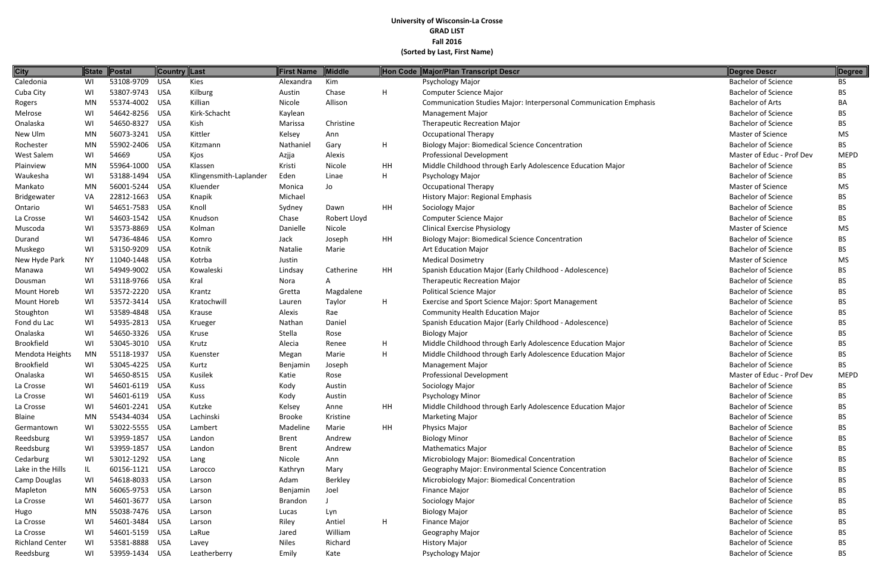| <b>City</b>            | State     | Postal         | Country Last |                        | First Name     | Middle       |    | Hon Code Major/Plan Transcript Descr                                     | Degree Descr               | Degree      |
|------------------------|-----------|----------------|--------------|------------------------|----------------|--------------|----|--------------------------------------------------------------------------|----------------------------|-------------|
| Caledonia              | WI        | 53108-9709     | <b>USA</b>   | <b>Kies</b>            | Alexandra      | Kim          |    | Psychology Major                                                         | <b>Bachelor of Science</b> | BS.         |
| Cuba City              | WI        | 53807-9743     | <b>USA</b>   | Kilburg                | Austin         | Chase        | H  | Computer Science Major                                                   | <b>Bachelor of Science</b> | <b>BS</b>   |
| Rogers                 | <b>MN</b> | 55374-4002     | <b>USA</b>   | Killian                | Nicole         | Allison      |    | <b>Communication Studies Major: Interpersonal Communication Emphasis</b> | <b>Bachelor of Arts</b>    | BA          |
| Melrose                | WI        | 54642-8256     | USA          | Kirk-Schacht           | Kaylean        |              |    | <b>Management Major</b>                                                  | <b>Bachelor of Science</b> | BS.         |
| Onalaska               | WI        | 54650-8327     | <b>USA</b>   | Kish                   | Marissa        | Christine    |    | <b>Therapeutic Recreation Major</b>                                      | <b>Bachelor of Science</b> | BS.         |
| New Ulm                | MN        | 56073-3241     | <b>USA</b>   | Kittler                | Kelsey         | Ann          |    | <b>Occupational Therapy</b>                                              | Master of Science          | <b>MS</b>   |
| Rochester              | MN        | 55902-2406     | <b>USA</b>   | Kitzmann               | Nathaniel      | Gary         | H  | <b>Biology Major: Biomedical Science Concentration</b>                   | <b>Bachelor of Science</b> | <b>BS</b>   |
| West Salem             | WI        | 54669          | <b>USA</b>   | Kjos                   | Azjja          | Alexis       |    | <b>Professional Development</b>                                          | Master of Educ - Prof Dev  | <b>MEPD</b> |
| Plainview              | MN        | 55964-1000     | <b>USA</b>   | Klassen                | Kristi         | Nicole       | HH | Middle Childhood through Early Adolescence Education Major               | <b>Bachelor of Science</b> | BS.         |
| Waukesha               | WI        | 53188-1494     | <b>USA</b>   | Klingensmith-Laplander | Eden           | Linae        | H  | Psychology Major                                                         | <b>Bachelor of Science</b> | BS.         |
| Mankato                | MN        | 56001-5244     | <b>USA</b>   | Kluender               | Monica         | Jo           |    | <b>Occupational Therapy</b>                                              | Master of Science          | <b>MS</b>   |
| Bridgewater            | VA        | 22812-1663     | <b>USA</b>   | Knapik                 | Michael        |              |    | History Major: Regional Emphasis                                         | <b>Bachelor of Science</b> | <b>BS</b>   |
| Ontario                | WI        | 54651-7583     | <b>USA</b>   | Knoll                  | Sydney         | Dawn         | HH | Sociology Major                                                          | <b>Bachelor of Science</b> | BS.         |
| La Crosse              | WI        | 54603-1542     | <b>USA</b>   | Knudson                | Chase          | Robert Lloyd |    | Computer Science Major                                                   | <b>Bachelor of Science</b> | BS.         |
| Muscoda                | WI        | 53573-8869     | <b>USA</b>   | Kolman                 | Danielle       | Nicole       |    | <b>Clinical Exercise Physiology</b>                                      | Master of Science          | <b>MS</b>   |
| Durand                 | WI        | 54736-4846     | <b>USA</b>   | Komro                  | Jack           | Joseph       | HH | <b>Biology Major: Biomedical Science Concentration</b>                   | <b>Bachelor of Science</b> | <b>BS</b>   |
| Muskego                | WI        | 53150-9209     | <b>USA</b>   | Kotnik                 | Natalie        | Marie        |    | <b>Art Education Major</b>                                               | <b>Bachelor of Science</b> | BS.         |
| New Hyde Park          | <b>NY</b> | 11040-1448     | <b>USA</b>   | Kotrba                 | Justin         |              |    | <b>Medical Dosimetry</b>                                                 | <b>Master of Science</b>   | <b>MS</b>   |
| Manawa                 | WI        | 54949-9002     | <b>USA</b>   | Kowaleski              | Lindsay        | Catherine    | HH | Spanish Education Major (Early Childhood - Adolescence)                  | <b>Bachelor of Science</b> | <b>BS</b>   |
| Dousman                | WI        | 53118-9766     | <b>USA</b>   | Kral                   | Nora           | A            |    | <b>Therapeutic Recreation Major</b>                                      | <b>Bachelor of Science</b> | <b>BS</b>   |
| Mount Horeb            | WI        | 53572-2220     | <b>USA</b>   | Krantz                 | Gretta         | Magdalene    |    | <b>Political Science Major</b>                                           | <b>Bachelor of Science</b> | <b>BS</b>   |
| Mount Horeb            | WI        | 53572-3414     | <b>USA</b>   | Kratochwill            | Lauren         | Taylor       | H  | Exercise and Sport Science Major: Sport Management                       | <b>Bachelor of Science</b> | BS.         |
| Stoughton              | WI        | 53589-4848     | <b>USA</b>   | Krause                 | Alexis         | Rae          |    | <b>Community Health Education Major</b>                                  | <b>Bachelor of Science</b> | BS.         |
| Fond du Lac            | WI        | 54935-2813     | <b>USA</b>   | Krueger                | Nathan         | Daniel       |    | Spanish Education Major (Early Childhood - Adolescence)                  | <b>Bachelor of Science</b> | BS.         |
| Onalaska               | WI        | 54650-3326     | <b>USA</b>   | Kruse                  | Stella         | Rose         |    | <b>Biology Major</b>                                                     | <b>Bachelor of Science</b> | <b>BS</b>   |
| Brookfield             | WI        | 53045-3010     | <b>USA</b>   | Krutz                  | Alecia         | Renee        | H  | Middle Childhood through Early Adolescence Education Major               | <b>Bachelor of Science</b> | <b>BS</b>   |
| Mendota Heights        | MN        | 55118-1937     | <b>USA</b>   | Kuenster               | Megan          | Marie        | H  | Middle Childhood through Early Adolescence Education Major               | <b>Bachelor of Science</b> | BS.         |
| Brookfield             | WI        | 53045-4225     | <b>USA</b>   | Kurtz                  | Benjamin       | Joseph       |    | <b>Management Major</b>                                                  | <b>Bachelor of Science</b> | BS.         |
| Onalaska               | WI        | 54650-8515     | <b>USA</b>   | Kusilek                | Katie          | Rose         |    | <b>Professional Development</b>                                          | Master of Educ - Prof Dev  | <b>MEPD</b> |
| La Crosse              | WI        | 54601-6119     | <b>USA</b>   | Kuss                   | Kody           | Austin       |    | Sociology Major                                                          | <b>Bachelor of Science</b> | <b>BS</b>   |
| La Crosse              | WI        | 54601-6119     | <b>USA</b>   | Kuss                   | Kody           | Austin       |    | <b>Psychology Minor</b>                                                  | <b>Bachelor of Science</b> | BS.         |
| La Crosse              | WI        | 54601-2241     | <b>USA</b>   | Kutzke                 | Kelsey         | Anne         | HH | Middle Childhood through Early Adolescence Education Major               | <b>Bachelor of Science</b> | BS.         |
| Blaine                 | MN        | 55434-4034     | <b>USA</b>   | Lachinski              | Brooke         | Kristine     |    | <b>Marketing Major</b>                                                   | <b>Bachelor of Science</b> | BS.         |
| Germantown             | WI        | 53022-5555     | <b>USA</b>   | Lambert                | Madeline       | Marie        | HH | Physics Major                                                            | <b>Bachelor of Science</b> | BS.         |
| Reedsburg              | WI        | 53959-1857     | <b>USA</b>   | Landon                 | <b>Brent</b>   | Andrew       |    | <b>Biology Minor</b>                                                     | <b>Bachelor of Science</b> | BS.         |
| Reedsburg              | WI        | 53959-1857     | <b>USA</b>   | Landon                 | <b>Brent</b>   | Andrew       |    | <b>Mathematics Major</b>                                                 | <b>Bachelor of Science</b> | BS.         |
| Cedarburg              | WI        | 53012-1292     | <b>USA</b>   | Lang                   | Nicole         | Ann          |    | Microbiology Major: Biomedical Concentration                             | <b>Bachelor of Science</b> | BS.         |
| Lake in the Hills      | IL.       | 60156-1121     | USA          | Larocco                | Kathryn        | Mary         |    | Geography Major: Environmental Science Concentration                     | <b>Bachelor of Science</b> | BS.         |
| Camp Douglas           | WI        | 54618-8033     | USA          | Larson                 | Adam           | Berkley      |    | Microbiology Major: Biomedical Concentration                             | <b>Bachelor of Science</b> | BS.         |
| Mapleton               | MN        | 56065-9753     | <b>USA</b>   | Larson                 | Benjamin       | Joel         |    | Finance Major                                                            | <b>Bachelor of Science</b> | BS.         |
| La Crosse              | WI        | 54601-3677     | <b>USA</b>   | Larson                 | <b>Brandon</b> |              |    | Sociology Major                                                          | <b>Bachelor of Science</b> | BS.         |
| Hugo                   | MN        | 55038-7476 USA |              | Larson                 | Lucas          | Lyn          |    | <b>Biology Major</b>                                                     | <b>Bachelor of Science</b> | BS.         |
| La Crosse              | WI        | 54601-3484     | <b>USA</b>   | Larson                 | Riley          | Antiel       | H  | Finance Major                                                            | <b>Bachelor of Science</b> | BS.         |
| La Crosse              | WI        | 54601-5159     | USA          | LaRue                  | Jared          | William      |    | Geography Major                                                          | <b>Bachelor of Science</b> | BS.         |
| <b>Richland Center</b> | WI        | 53581-8888     | <b>USA</b>   | Lavey                  | <b>Niles</b>   | Richard      |    | <b>History Major</b>                                                     | <b>Bachelor of Science</b> | BS.         |
| Reedsburg              | WI        | 53959-1434 USA |              | Leatherberry           | Emily          | Kate         |    | Psychology Major                                                         | <b>Bachelor of Science</b> | BS          |

| <b>Degree Descr</b>        | <b>Degree</b> |
|----------------------------|---------------|
| <b>Bachelor of Science</b> | <b>BS</b>     |
| <b>Bachelor of Science</b> | <b>BS</b>     |
| <b>Bachelor of Arts</b>    | BА            |
| <b>Bachelor of Science</b> | BS            |
| <b>Bachelor of Science</b> | BS.           |
| Master of Science          | MS            |
| <b>Bachelor of Science</b> | BS            |
| Master of Educ - Prof Dev  | <b>MEPD</b>   |
| <b>Bachelor of Science</b> | BS            |
| <b>Bachelor of Science</b> | BS            |
| <b>Master of Science</b>   | <b>MS</b>     |
| <b>Bachelor of Science</b> | BS            |
| <b>Bachelor of Science</b> | BS            |
| <b>Bachelor of Science</b> | BS.           |
| Master of Science          | MS            |
| <b>Bachelor of Science</b> | BS            |
| <b>Bachelor of Science</b> | BS            |
| Master of Science          | <b>MS</b>     |
| <b>Bachelor of Science</b> | BS            |
| <b>Bachelor of Science</b> | BS            |
| <b>Bachelor of Science</b> | <b>BS</b>     |
| <b>Bachelor of Science</b> | BS            |
| <b>Bachelor of Science</b> | BS            |
| <b>Bachelor of Science</b> | BS            |
| <b>Bachelor of Science</b> | BS            |
| <b>Bachelor of Science</b> | <b>BS</b>     |
| <b>Bachelor of Science</b> | <b>BS</b>     |
| <b>Bachelor of Science</b> | BS.           |
| Master of Educ - Prof Dev  | MEPD          |
| <b>Bachelor of Science</b> | BS            |
| <b>Bachelor of Science</b> | ВS            |
| <b>Bachelor of Science</b> | <b>BS</b>     |
| <b>Bachelor of Science</b> | <b>BS</b>     |
| <b>Bachelor of Science</b> | <b>BS</b>     |
| <b>Bachelor of Science</b> | <b>BS</b>     |
| <b>Bachelor of Science</b> | <b>BS</b>     |
| <b>Bachelor of Science</b> | <b>BS</b>     |
| <b>Bachelor of Science</b> | <b>BS</b>     |
| <b>Bachelor of Science</b> | <b>BS</b>     |
| <b>Bachelor of Science</b> | <b>BS</b>     |
| <b>Bachelor of Science</b> | BS            |
| <b>Bachelor of Science</b> | <b>BS</b>     |
| <b>Bachelor of Science</b> | <b>BS</b>     |
| <b>Bachelor of Science</b> | <b>BS</b>     |
| <b>Bachelor of Science</b> | <b>BS</b>     |
| <b>Bachelor of Science</b> | BS            |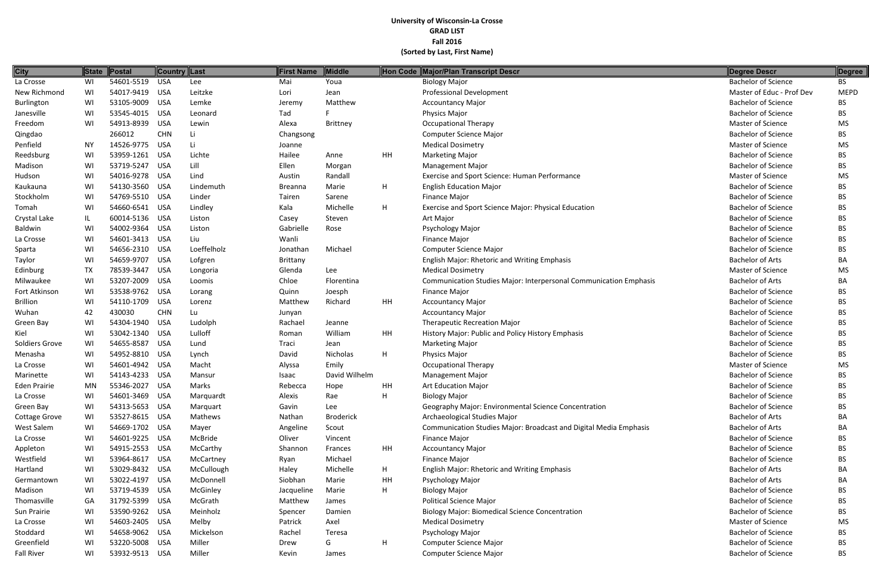| <b>City</b>          | State     | Postal         | Country Last |             | First Name     | Middle           |    | Hon Code Major/Plan Transcript Descr                                     | Degree Descr               | Degree      |
|----------------------|-----------|----------------|--------------|-------------|----------------|------------------|----|--------------------------------------------------------------------------|----------------------------|-------------|
| La Crosse            | WI        | 54601-5519     | <b>USA</b>   | Lee         | Mai            | Youa             |    | <b>Biology Major</b>                                                     | <b>Bachelor of Science</b> | <b>BS</b>   |
| New Richmond         | WI        | 54017-9419     | <b>USA</b>   | Leitzke     | Lori           | Jean             |    | <b>Professional Development</b>                                          | Master of Educ - Prof Dev  | <b>MEPD</b> |
| Burlington           | WI        | 53105-9009     | <b>USA</b>   | Lemke       | Jeremy         | Matthew          |    | <b>Accountancy Major</b>                                                 | <b>Bachelor of Science</b> | BS.         |
| Janesville           | WI        | 53545-4015     | <b>USA</b>   | Leonard     | Tad            |                  |    | Physics Major                                                            | <b>Bachelor of Science</b> | BS.         |
| Freedom              | WI        | 54913-8939     | <b>USA</b>   | Lewin       | Alexa          | <b>Brittney</b>  |    | <b>Occupational Therapy</b>                                              | Master of Science          | <b>MS</b>   |
| Qingdao              |           | 266012         | <b>CHN</b>   | Li          | Changsong      |                  |    | Computer Science Major                                                   | <b>Bachelor of Science</b> | BS.         |
| Penfield             | ΝY        | 14526-9775     | <b>USA</b>   | Li          | Joanne         |                  |    | <b>Medical Dosimetry</b>                                                 | Master of Science          | <b>MS</b>   |
| Reedsburg            | WI        | 53959-1261     | <b>USA</b>   | Lichte      | Hailee         | Anne             | HH | <b>Marketing Major</b>                                                   | <b>Bachelor of Science</b> | BS.         |
| Madison              | WI        | 53719-5247     | <b>USA</b>   | Lill        | Ellen          | Morgan           |    | <b>Management Major</b>                                                  | <b>Bachelor of Science</b> | BS.         |
| Hudson               | WI        | 54016-9278     | <b>USA</b>   | Lind        | Austin         | Randall          |    | Exercise and Sport Science: Human Performance                            | Master of Science          | <b>MS</b>   |
| Kaukauna             | WI        | 54130-3560     | <b>USA</b>   | Lindemuth   | <b>Breanna</b> | Marie            | H  | <b>English Education Major</b>                                           | <b>Bachelor of Science</b> | <b>BS</b>   |
| Stockholm            | WI        | 54769-5510     | <b>USA</b>   | Linder      | Tairen         | Sarene           |    | <b>Finance Major</b>                                                     | <b>Bachelor of Science</b> | <b>BS</b>   |
| Tomah                | WI        | 54660-6541     | <b>USA</b>   | Lindley     | Kala           | Michelle         | H  | Exercise and Sport Science Major: Physical Education                     | <b>Bachelor of Science</b> | BS.         |
| Crystal Lake         | IL        | 60014-5136     | <b>USA</b>   | Liston      | Casey          | Steven           |    | Art Major                                                                | <b>Bachelor of Science</b> | BS.         |
| Baldwin              | WI        | 54002-9364     | <b>USA</b>   | Liston      | Gabrielle      | Rose             |    | Psychology Major                                                         | <b>Bachelor of Science</b> | <b>BS</b>   |
| La Crosse            | WI        | 54601-3413     | <b>USA</b>   | Liu         | Wanli          |                  |    | <b>Finance Major</b>                                                     | <b>Bachelor of Science</b> | BS.         |
| Sparta               | WI        | 54656-2310     | <b>USA</b>   | Loeffelholz | Jonathan       | Michael          |    | Computer Science Major                                                   | <b>Bachelor of Science</b> | BS          |
| Taylor               | WI        | 54659-9707     | <b>USA</b>   | Lofgren     | Brittany       |                  |    | <b>English Major: Rhetoric and Writing Emphasis</b>                      | <b>Bachelor of Arts</b>    | BA          |
| Edinburg             | TX        | 78539-3447     | <b>USA</b>   | Longoria    | Glenda         | Lee              |    | <b>Medical Dosimetry</b>                                                 | Master of Science          | <b>MS</b>   |
| Milwaukee            | WI        | 53207-2009     | <b>USA</b>   | Loomis      | Chloe          | Florentina       |    | <b>Communication Studies Major: Interpersonal Communication Emphasis</b> | <b>Bachelor of Arts</b>    | BA          |
| Fort Atkinson        | WI        | 53538-9762     | <b>USA</b>   | Lorang      | Quinn          | Joesph           |    | <b>Finance Major</b>                                                     | <b>Bachelor of Science</b> | <b>BS</b>   |
| <b>Brillion</b>      | WI        | 54110-1709     | USA          | Lorenz      | Matthew        | Richard          | HH | <b>Accountancy Major</b>                                                 | <b>Bachelor of Science</b> | BS.         |
| Wuhan                | 42        | 430030         | <b>CHN</b>   | Lu          | Junyan         |                  |    | <b>Accountancy Major</b>                                                 | <b>Bachelor of Science</b> | BS.         |
| Green Bay            | WI        | 54304-1940     | <b>USA</b>   | Ludolph     | Rachael        | Jeanne           |    | <b>Therapeutic Recreation Major</b>                                      | <b>Bachelor of Science</b> | BS.         |
| Kiel                 | WI        | 53042-1340     | <b>USA</b>   | Lulloff     | Roman          | William          | HH | History Major: Public and Policy History Emphasis                        | <b>Bachelor of Science</b> | <b>BS</b>   |
| Soldiers Grove       | WI        | 54655-8587     | <b>USA</b>   | Lund        | Traci          | Jean             |    | <b>Marketing Major</b>                                                   | <b>Bachelor of Science</b> | BS.         |
| Menasha              | WI        | 54952-8810     | <b>USA</b>   | Lynch       | David          | Nicholas         | H  | Physics Major                                                            | <b>Bachelor of Science</b> | BS.         |
| La Crosse            | WI        | 54601-4942     | <b>USA</b>   | Macht       | Alyssa         | Emily            |    | <b>Occupational Therapy</b>                                              | Master of Science          | <b>MS</b>   |
| Marinette            | WI        | 54143-4233     | <b>USA</b>   | Mansur      | Isaac          | David Wilhelm    |    | <b>Management Major</b>                                                  | <b>Bachelor of Science</b> | ВS          |
| <b>Eden Prairie</b>  | <b>MN</b> | 55346-2027     | <b>USA</b>   | Marks       | Rebecca        | Hope             | HH | <b>Art Education Major</b>                                               | <b>Bachelor of Science</b> | BS          |
| La Crosse            | WI        | 54601-3469     | <b>USA</b>   | Marquardt   | Alexis         | Rae              | H  | <b>Biology Major</b>                                                     | <b>Bachelor of Science</b> | BS          |
| Green Bay            | WI        | 54313-5653     | <b>USA</b>   | Marquart    | Gavin          | Lee              |    | Geography Major: Environmental Science Concentration                     | <b>Bachelor of Science</b> | BS.         |
| <b>Cottage Grove</b> | WI        | 53527-8615     | <b>USA</b>   | Mathews     | Nathan         | <b>Broderick</b> |    | Archaeological Studies Major                                             | <b>Bachelor of Arts</b>    | BA          |
| West Salem           | WI        | 54669-1702     | <b>USA</b>   | Mayer       | Angeline       | Scout            |    | Communication Studies Major: Broadcast and Digital Media Emphasis        | <b>Bachelor of Arts</b>    | BA          |
| La Crosse            | WI        | 54601-9225     | USA          | McBride     | Oliver         | Vincent          |    | <b>Finance Major</b>                                                     | <b>Bachelor of Science</b> | BS.         |
| Appleton             | WI        | 54915-2553     | <b>USA</b>   | McCarthy    | Shannon        | Frances          | HH | <b>Accountancy Major</b>                                                 | <b>Bachelor of Science</b> | BS.         |
| Westfield            | WI        | 53964-8617     | <b>USA</b>   | McCartney   | Ryan           | Michael          |    | <b>Finance Major</b>                                                     | <b>Bachelor of Science</b> | BS          |
| Hartland             | WI        | 53029-8432     | <b>USA</b>   | McCullough  | Haley          | Michelle         | H  | English Major: Rhetoric and Writing Emphasis                             | <b>Bachelor of Arts</b>    | BA          |
| Germantown           | WI        | 53022-4197     | <b>USA</b>   | McDonnell   | Siobhan        | Marie            | HH | Psychology Major                                                         | <b>Bachelor of Arts</b>    | BA          |
| Madison              | WI        | 53719-4539     | USA          | McGinley    | Jacqueline     | Marie            | H  | <b>Biology Major</b>                                                     | <b>Bachelor of Science</b> | BS.         |
| Thomasville          | GA        | 31792-5399     | <b>USA</b>   | McGrath     | Matthew        | James            |    | Political Science Major                                                  | <b>Bachelor of Science</b> | BS.         |
| Sun Prairie          | WI        | 53590-9262     | <b>USA</b>   | Meinholz    | Spencer        | Damien           |    | <b>Biology Major: Biomedical Science Concentration</b>                   | <b>Bachelor of Science</b> | BS.         |
| La Crosse            | WI        | 54603-2405     | <b>USA</b>   | Melby       | Patrick        | Axel             |    | <b>Medical Dosimetry</b>                                                 | Master of Science          | <b>MS</b>   |
| Stoddard             | WI        | 54658-9062     | <b>USA</b>   | Mickelson   | Rachel         | Teresa           |    | Psychology Major                                                         | <b>Bachelor of Science</b> | BS.         |
| Greenfield           | WI        | 53220-5008     | USA          | Miller      | Drew           | G                | H  | Computer Science Major                                                   | <b>Bachelor of Science</b> | BS.         |
| <b>Fall River</b>    | WI        | 53932-9513 USA |              | Miller      | Kevin          | James            |    | <b>Computer Science Major</b>                                            | <b>Bachelor of Science</b> | <b>BS</b>   |

| <b>Degree Descr</b>        | Degree      |
|----------------------------|-------------|
| <b>Bachelor of Science</b> | BS.         |
| Master of Educ - Prof Dev  | <b>MEPD</b> |
| <b>Bachelor of Science</b> | <b>BS</b>   |
| <b>Bachelor of Science</b> | <b>BS</b>   |
| Master of Science          | MS          |
| <b>Bachelor of Science</b> | <b>BS</b>   |
| Master of Science          | <b>MS</b>   |
| <b>Bachelor of Science</b> | <b>BS</b>   |
| <b>Bachelor of Science</b> | BS          |
| Master of Science          | MS          |
| <b>Bachelor of Science</b> | <b>BS</b>   |
| <b>Bachelor of Science</b> | <b>BS</b>   |
| <b>Bachelor of Science</b> | <b>BS</b>   |
| <b>Bachelor of Science</b> | <b>BS</b>   |
| <b>Bachelor of Science</b> | BS          |
| <b>Bachelor of Science</b> | <b>BS</b>   |
| <b>Bachelor of Science</b> | <b>BS</b>   |
| <b>Bachelor of Arts</b>    | BА          |
| Master of Science          | MS          |
| <b>Bachelor of Arts</b>    | BА          |
| <b>Bachelor of Science</b> | <b>BS</b>   |
| <b>Bachelor of Science</b> | <b>BS</b>   |
| <b>Bachelor of Science</b> | <b>BS</b>   |
| <b>Bachelor of Science</b> | BS          |
| <b>Bachelor of Science</b> | <b>BS</b>   |
| <b>Bachelor of Science</b> | <b>BS</b>   |
| <b>Bachelor of Science</b> | BS          |
| Master of Science          | MS          |
| <b>Bachelor of Science</b> | <b>BS</b>   |
| <b>Bachelor of Science</b> | BS          |
| <b>Bachelor of Science</b> | <b>BS</b>   |
| <b>Bachelor of Science</b> | <b>BS</b>   |
| <b>Bachelor of Arts</b>    | BA          |
| <b>Bachelor of Arts</b>    | BA          |
| <b>Bachelor of Science</b> | <b>BS</b>   |
| <b>Bachelor of Science</b> | <b>BS</b>   |
| <b>Bachelor of Science</b> | <b>BS</b>   |
| <b>Bachelor of Arts</b>    | BA          |
| <b>Bachelor of Arts</b>    | BA          |
| <b>Bachelor of Science</b> | <b>BS</b>   |
| <b>Bachelor of Science</b> | <b>BS</b>   |
| <b>Bachelor of Science</b> | <b>BS</b>   |
| Master of Science          | MS          |
| <b>Bachelor of Science</b> | <b>BS</b>   |
| <b>Bachelor of Science</b> | <b>BS</b>   |
| Bachelor of Science        | <b>BS</b>   |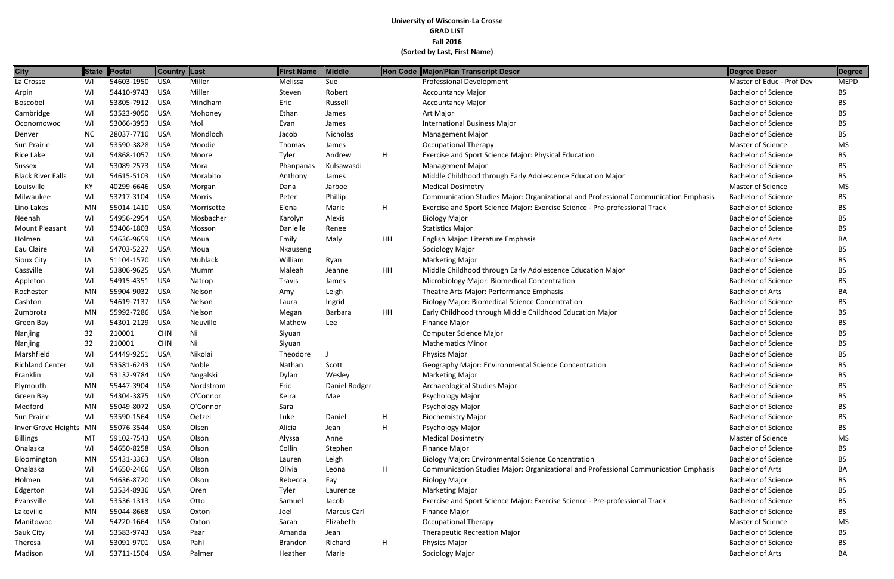| <b>City</b>              |           | State Postal   | Country Last |            | <b>First Name</b> | Middle        |    | Hon Code Major/Plan Transcript Descr                                                | Degree Descr               | Degree      |
|--------------------------|-----------|----------------|--------------|------------|-------------------|---------------|----|-------------------------------------------------------------------------------------|----------------------------|-------------|
| La Crosse                | WI        | 54603-1950     | <b>USA</b>   | Miller     | Melissa           | Sue           |    | <b>Professional Development</b>                                                     | Master of Educ - Prof Dev  | <b>MEPD</b> |
| Arpin                    | WI        | 54410-9743 USA |              | Miller     | Steven            | Robert        |    | <b>Accountancy Major</b>                                                            | <b>Bachelor of Science</b> | <b>BS</b>   |
| Boscobel                 | WI        | 53805-7912 USA |              | Mindham    | Eric              | Russell       |    | <b>Accountancy Major</b>                                                            | <b>Bachelor of Science</b> | <b>BS</b>   |
| Cambridge                | WI        | 53523-9050 USA |              | Mohoney    | Ethan             | James         |    | Art Major                                                                           | <b>Bachelor of Science</b> | <b>BS</b>   |
| Oconomowoc               | WI        | 53066-3953     | USA          | Mol        | Evan              | James         |    | <b>International Business Major</b>                                                 | <b>Bachelor of Science</b> | <b>BS</b>   |
| Denver                   | <b>NC</b> | 28037-7710 USA |              | Mondloch   | Jacob             | Nicholas      |    | <b>Management Major</b>                                                             | <b>Bachelor of Science</b> | <b>BS</b>   |
| Sun Prairie              | WI        | 53590-3828     | <b>USA</b>   | Moodie     | Thomas            | James         |    | <b>Occupational Therapy</b>                                                         | Master of Science          | <b>MS</b>   |
| Rice Lake                | WI        | 54868-1057     | USA          | Moore      | Tyler             | Andrew        | H  | Exercise and Sport Science Major: Physical Education                                | <b>Bachelor of Science</b> | <b>BS</b>   |
| Sussex                   | WI        | 53089-2573 USA |              | Mora       | Phanpanas         | Kulsawasdi    |    | <b>Management Major</b>                                                             | <b>Bachelor of Science</b> | <b>BS</b>   |
| <b>Black River Falls</b> | WI        | 54615-5103     | USA          | Morabito   | Anthony           | James         |    | Middle Childhood through Early Adolescence Education Major                          | <b>Bachelor of Science</b> | <b>BS</b>   |
| Louisville               | KY        | 40299-6646 USA |              | Morgan     | Dana              | Jarboe        |    | <b>Medical Dosimetry</b>                                                            | Master of Science          | <b>MS</b>   |
| Milwaukee                | WI        | 53217-3104 USA |              | Morris     | Peter             | Phillip       |    | Communication Studies Major: Organizational and Professional Communication Emphasis | <b>Bachelor of Science</b> | BS          |
| Lino Lakes               | MN        | 55014-1410 USA |              | Morrisette | Elena             | Marie         | H  | Exercise and Sport Science Major: Exercise Science - Pre-professional Track         | <b>Bachelor of Science</b> | <b>BS</b>   |
| Neenah                   | WI        | 54956-2954 USA |              | Mosbacher  | Karolyn           | Alexis        |    | <b>Biology Major</b>                                                                | <b>Bachelor of Science</b> | <b>BS</b>   |
| Mount Pleasant           | WI        | 53406-1803     | USA          | Mosson     | Danielle          | Renee         |    | <b>Statistics Major</b>                                                             | <b>Bachelor of Science</b> | <b>BS</b>   |
| Holmen                   | WI        | 54636-9659     | USA          | Moua       | Emily             | Maly          | HH | English Major: Literature Emphasis                                                  | <b>Bachelor of Arts</b>    | BA          |
| Eau Claire               | WI        | 54703-5227     | <b>USA</b>   | Moua       | Nkauseng          |               |    | Sociology Major                                                                     | <b>Bachelor of Science</b> | <b>BS</b>   |
| Sioux City               | IA        | 51104-1570 USA |              | Muhlack    | William           | Ryan          |    | <b>Marketing Major</b>                                                              | <b>Bachelor of Science</b> | <b>BS</b>   |
| Cassville                | WI        | 53806-9625     | USA          | Mumm       | Maleah            | Jeanne        | HH | Middle Childhood through Early Adolescence Education Major                          | <b>Bachelor of Science</b> | <b>BS</b>   |
| Appleton                 | WI        | 54915-4351 USA |              | Natrop     | Travis            | James         |    | Microbiology Major: Biomedical Concentration                                        | <b>Bachelor of Science</b> | <b>BS</b>   |
| Rochester                | MN        | 55904-9032     | <b>USA</b>   | Nelson     | Amy               | Leigh         |    | Theatre Arts Major: Performance Emphasis                                            | <b>Bachelor of Arts</b>    | BA          |
| Cashton                  | WI        | 54619-7137     | <b>USA</b>   | Nelson     | Laura             | Ingrid        |    | <b>Biology Major: Biomedical Science Concentration</b>                              | <b>Bachelor of Science</b> | <b>BS</b>   |
| Zumbrota                 | <b>MN</b> | 55992-7286     | <b>USA</b>   | Nelson     | Megan             | Barbara       | HH | Early Childhood through Middle Childhood Education Major                            | <b>Bachelor of Science</b> | <b>BS</b>   |
| Green Bay                | WI        | 54301-2129     | <b>USA</b>   | Neuville   | Mathew            | Lee           |    | <b>Finance Major</b>                                                                | <b>Bachelor of Science</b> | <b>BS</b>   |
| Nanjing                  | 32        | 210001         | <b>CHN</b>   | Ni         | Siyuan            |               |    | Computer Science Major                                                              | <b>Bachelor of Science</b> | <b>BS</b>   |
| Nanjing                  | 32        | 210001         | <b>CHN</b>   | Ni         | Siyuan            |               |    | <b>Mathematics Minor</b>                                                            | <b>Bachelor of Science</b> | <b>BS</b>   |
| Marshfield               | WI        | 54449-9251     | <b>USA</b>   | Nikolai    | Theodore          |               |    | <b>Physics Major</b>                                                                | <b>Bachelor of Science</b> | <b>BS</b>   |
| <b>Richland Center</b>   | WI        | 53581-6243     | USA          | Noble      | Nathan            | Scott         |    | Geography Major: Environmental Science Concentration                                | <b>Bachelor of Science</b> | <b>BS</b>   |
| Franklin                 | WI        | 53132-9784     | USA          | Nogalski   | Dylan             | Wesley        |    | <b>Marketing Major</b>                                                              | <b>Bachelor of Science</b> | <b>BS</b>   |
| Plymouth                 | MN        | 55447-3904 USA |              | Nordstrom  | Eric              | Daniel Rodger |    | Archaeological Studies Major                                                        | <b>Bachelor of Science</b> | <b>BS</b>   |
| Green Bay                | WI        | 54304-3875 USA |              | O'Connor   | Keira             | Mae           |    | Psychology Major                                                                    | <b>Bachelor of Science</b> | <b>BS</b>   |
| Medford                  | MN        | 55049-8072 USA |              | O'Connor   | Sara              |               |    | Psychology Major                                                                    | <b>Bachelor of Science</b> | <b>BS</b>   |
| Sun Prairie              | WI        | 53590-1564 USA |              | Oetzel     | Luke              | Daniel        | H  | <b>Biochemistry Major</b>                                                           | <b>Bachelor of Science</b> | <b>BS</b>   |
| Inver Grove Heights MN   |           | 55076-3544 USA |              | Olsen      | Alicia            | Jean          | H  | Psychology Major                                                                    | <b>Bachelor of Science</b> | <b>BS</b>   |
| <b>Billings</b>          | MT        | 59102-7543 USA |              | Olson      | Alyssa            | Anne          |    | <b>Medical Dosimetry</b>                                                            | Master of Science          | MS          |
| Onalaska                 | WI        | 54650-8258 USA |              | Olson      | Collin            | Stephen       |    | <b>Finance Major</b>                                                                | <b>Bachelor of Science</b> | <b>BS</b>   |
| Bloomington              | MN        | 55431-3363 USA |              | Olson      | Lauren            | Leigh         |    | <b>Biology Major: Environmental Science Concentration</b>                           | <b>Bachelor of Science</b> | <b>BS</b>   |
| Onalaska                 | WI        | 54650-2466 USA |              | Olson      | Olivia            | Leona         | H  | Communication Studies Major: Organizational and Professional Communication Emphasis | <b>Bachelor of Arts</b>    | BA          |
| Holmen                   | WI        | 54636-8720 USA |              | Olson      | Rebecca           | Fay           |    | <b>Biology Major</b>                                                                | <b>Bachelor of Science</b> | <b>BS</b>   |
| Edgerton                 | WI        | 53534-8936 USA |              | Oren       | Tyler             | Laurence      |    | <b>Marketing Major</b>                                                              | <b>Bachelor of Science</b> | <b>BS</b>   |
| Evansville               | WI        | 53536-1313 USA |              | Otto       | Samuel            | Jacob         |    | Exercise and Sport Science Major: Exercise Science - Pre-professional Track         | <b>Bachelor of Science</b> | <b>BS</b>   |
| Lakeville                | <b>MN</b> | 55044-8668 USA |              | Oxton      | Joel              | Marcus Carl   |    | <b>Finance Major</b>                                                                | <b>Bachelor of Science</b> | <b>BS</b>   |
| Manitowoc                | WI        | 54220-1664 USA |              | Oxton      | Sarah             | Elizabeth     |    | <b>Occupational Therapy</b>                                                         | Master of Science          | <b>MS</b>   |
| Sauk City                | WI        | 53583-9743 USA |              | Paar       | Amanda            | Jean          |    | <b>Therapeutic Recreation Major</b>                                                 | <b>Bachelor of Science</b> | <b>BS</b>   |
| Theresa                  | WI        | 53091-9701 USA |              | Pahl       | <b>Brandon</b>    | Richard       | H  | <b>Physics Major</b>                                                                | <b>Bachelor of Science</b> | <b>BS</b>   |
| Madison                  | WI        | 53711-1504 USA |              | Palmer     | Heather           | Marie         |    | Sociology Major                                                                     | <b>Bachelor of Arts</b>    | BA          |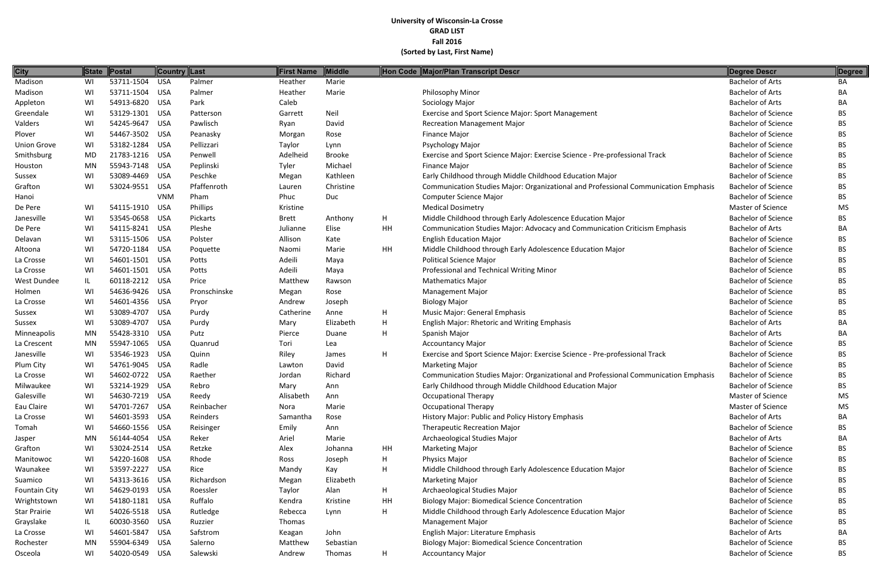| <b>City</b>          |           | State Postal   | <b>Country Last</b> |              | <b>First Name</b> | <b>Middle</b> |    | Hon Code Major/Plan Transcript Descr                                                | Degree Descr               | Degree    |
|----------------------|-----------|----------------|---------------------|--------------|-------------------|---------------|----|-------------------------------------------------------------------------------------|----------------------------|-----------|
| Madison              | WI        | 53711-1504     | <b>USA</b>          | Palmer       | Heather           | Marie         |    |                                                                                     | <b>Bachelor of Arts</b>    | BA        |
| Madison              | WI        | 53711-1504 USA |                     | Palmer       | Heather           | Marie         |    | <b>Philosophy Minor</b>                                                             | <b>Bachelor of Arts</b>    | BA        |
| Appleton             | WI        | 54913-6820     | USA                 | Park         | Caleb             |               |    | Sociology Major                                                                     | <b>Bachelor of Arts</b>    | BA        |
| Greendale            | WI        | 53129-1301 USA |                     | Patterson    | Garrett           | Neil          |    | Exercise and Sport Science Major: Sport Management                                  | <b>Bachelor of Science</b> | BS        |
| Valders              | WI        | 54245-9647     | <b>USA</b>          | Pawlisch     | Ryan              | David         |    | <b>Recreation Management Major</b>                                                  | <b>Bachelor of Science</b> | <b>BS</b> |
| Plover               | WI        | 54467-3502 USA |                     | Peanasky     | Morgan            | Rose          |    | Finance Major                                                                       | <b>Bachelor of Science</b> | <b>BS</b> |
| <b>Union Grove</b>   | WI        | 53182-1284     | USA                 | Pellizzari   | Taylor            | Lynn          |    | Psychology Major                                                                    | <b>Bachelor of Science</b> | BS        |
| Smithsburg           | <b>MD</b> | 21783-1216 USA |                     | Penwell      | Adelheid          | <b>Brooke</b> |    | Exercise and Sport Science Major: Exercise Science - Pre-professional Track         | <b>Bachelor of Science</b> | <b>BS</b> |
| Houston              | <b>MN</b> | 55943-7148 USA |                     | Peplinski    | Tyler             | Michael       |    | Finance Major                                                                       | <b>Bachelor of Science</b> | <b>BS</b> |
| Sussex               | WI        | 53089-4469     | USA                 | Peschke      | Megan             | Kathleen      |    | Early Childhood through Middle Childhood Education Major                            | <b>Bachelor of Science</b> | BS        |
| Grafton              | WI        | 53024-9551     | <b>USA</b>          | Pfaffenroth  | Lauren            | Christine     |    | Communication Studies Major: Organizational and Professional Communication Emphasis | <b>Bachelor of Science</b> | <b>BS</b> |
| Hanoi                |           |                | <b>VNM</b>          | Pham         | Phuc              | Duc           |    | <b>Computer Science Major</b>                                                       | <b>Bachelor of Science</b> | <b>BS</b> |
| De Pere              | WI        | 54115-1910     | <b>USA</b>          | Phillips     | Kristine          |               |    | <b>Medical Dosimetry</b>                                                            | Master of Science          | <b>MS</b> |
| Janesville           | WI        | 53545-0658     | <b>USA</b>          | Pickarts     | <b>Brett</b>      | Anthony       | H  | Middle Childhood through Early Adolescence Education Major                          | <b>Bachelor of Science</b> | <b>BS</b> |
| De Pere              | WI        | 54115-8241 USA |                     | Pleshe       | Julianne          | Elise         | HH | Communication Studies Major: Advocacy and Communication Criticism Emphasis          | <b>Bachelor of Arts</b>    | BA        |
| Delavan              | WI        | 53115-1506 USA |                     | Polster      | Allison           | Kate          |    | <b>English Education Major</b>                                                      | <b>Bachelor of Science</b> | <b>BS</b> |
| Altoona              | WI        | 54720-1184 USA |                     | Poquette     | Naomi             | Marie         | HH | Middle Childhood through Early Adolescence Education Major                          | <b>Bachelor of Science</b> | BS        |
| La Crosse            | WI        | 54601-1501 USA |                     | Potts        | Adeili            | Maya          |    | <b>Political Science Major</b>                                                      | <b>Bachelor of Science</b> | <b>BS</b> |
| La Crosse            | WI        | 54601-1501 USA |                     | Potts        | Adeili            | Maya          |    | Professional and Technical Writing Minor                                            | <b>Bachelor of Science</b> | <b>BS</b> |
| West Dundee          | IL.       | 60118-2212 USA |                     | Price        | Matthew           | Rawson        |    | <b>Mathematics Major</b>                                                            | <b>Bachelor of Science</b> | <b>BS</b> |
| Holmen               | WI        | 54636-9426 USA |                     | Pronschinske | Megan             | Rose          |    | <b>Management Major</b>                                                             | <b>Bachelor of Science</b> | <b>BS</b> |
| La Crosse            | WI        | 54601-4356 USA |                     | Pryor        | Andrew            | Joseph        |    | <b>Biology Major</b>                                                                | <b>Bachelor of Science</b> | <b>BS</b> |
| Sussex               | WI        | 53089-4707     | <b>USA</b>          | Purdy        | Catherine         | Anne          | H  | Music Major: General Emphasis                                                       | <b>Bachelor of Science</b> | <b>BS</b> |
| Sussex               | WI        | 53089-4707     | <b>USA</b>          | Purdy        | Mary              | Elizabeth     | H  | English Major: Rhetoric and Writing Emphasis                                        | <b>Bachelor of Arts</b>    | BA        |
| Minneapolis          | MN        | 55428-3310 USA |                     | Putz         | Pierce            | Duane         | H  | Spanish Major                                                                       | <b>Bachelor of Arts</b>    | BA        |
| La Crescent          | <b>MN</b> | 55947-1065     | USA                 | Quanrud      | Tori              | Lea           |    | <b>Accountancy Major</b>                                                            | <b>Bachelor of Science</b> | <b>BS</b> |
| Janesville           | WI        | 53546-1923     | <b>USA</b>          | Quinn        | Riley             | James         | H  | Exercise and Sport Science Major: Exercise Science - Pre-professional Track         | <b>Bachelor of Science</b> | <b>BS</b> |
| Plum City            | WI        | 54761-9045     | <b>USA</b>          | Radle        | Lawton            | David         |    | <b>Marketing Major</b>                                                              | <b>Bachelor of Science</b> | <b>BS</b> |
| La Crosse            | WI        | 54602-0722     | USA                 | Raether      | Jordan            | Richard       |    | Communication Studies Major: Organizational and Professional Communication Emphasis | <b>Bachelor of Science</b> | <b>BS</b> |
| Milwaukee            | WI        | 53214-1929     | <b>USA</b>          | Rebro        | Mary              | Ann           |    | Early Childhood through Middle Childhood Education Major                            | <b>Bachelor of Science</b> | <b>BS</b> |
| Galesville           | WI        | 54630-7219 USA |                     | Reedy        | Alisabeth         | Ann           |    | <b>Occupational Therapy</b>                                                         | Master of Science          | <b>MS</b> |
| Eau Claire           | WI        | 54701-7267 USA |                     | Reinbacher   | Nora              | Marie         |    | <b>Occupational Therapy</b>                                                         | Master of Science          | <b>MS</b> |
| La Crosse            | WI        | 54601-3593 USA |                     | Reinders     | Samantha          | Rose          |    | History Major: Public and Policy History Emphasis                                   | <b>Bachelor of Arts</b>    | BA        |
| Tomah                | WI        | 54660-1556 USA |                     | Reisinger    | Emily             | Ann           |    | <b>Therapeutic Recreation Major</b>                                                 | <b>Bachelor of Science</b> | <b>BS</b> |
| Jasper               | MN        | 56144-4054 USA |                     | Reker        | Ariel             | Marie         |    | Archaeological Studies Major                                                        | <b>Bachelor of Arts</b>    | BA        |
| Grafton              | WI        | 53024-2514 USA |                     | Retzke       | Alex              | Johanna       | HH | <b>Marketing Major</b>                                                              | <b>Bachelor of Science</b> | <b>BS</b> |
| Manitowoc            | WI        | 54220-1608 USA |                     | Rhode        | Ross              | Joseph        | H  | Physics Major                                                                       | <b>Bachelor of Science</b> | <b>BS</b> |
| Waunakee             | WI        | 53597-2227 USA |                     | Rice         | Mandy             | Kay           | H  | Middle Childhood through Early Adolescence Education Major                          | <b>Bachelor of Science</b> | <b>BS</b> |
| Suamico              | WI        | 54313-3616 USA |                     | Richardson   | Megan             | Elizabeth     |    | <b>Marketing Major</b>                                                              | <b>Bachelor of Science</b> | <b>BS</b> |
| <b>Fountain City</b> | WI        | 54629-0193 USA |                     | Roessler     | Taylor            | Alan          | H  | Archaeological Studies Major                                                        | <b>Bachelor of Science</b> | BS        |
| Wrightstown          | WI        | 54180-1181 USA |                     | Ruffalo      | Kendra            | Kristine      | HH | <b>Biology Major: Biomedical Science Concentration</b>                              | <b>Bachelor of Science</b> | <b>BS</b> |
| Star Prairie         | WI        | 54026-5518 USA |                     | Rutledge     | Rebecca           | Lynn          | H  | Middle Childhood through Early Adolescence Education Major                          | <b>Bachelor of Science</b> | <b>BS</b> |
| Grayslake            | IL.       | 60030-3560 USA |                     | Ruzzier      | Thomas            |               |    | <b>Management Major</b>                                                             | <b>Bachelor of Science</b> | <b>BS</b> |
| La Crosse            | WI        | 54601-5847 USA |                     | Safstrom     | Keagan            | John          |    | English Major: Literature Emphasis                                                  | <b>Bachelor of Arts</b>    | BA        |
| Rochester            | MN        | 55904-6349 USA |                     | Salerno      | Matthew           | Sebastian     |    | <b>Biology Major: Biomedical Science Concentration</b>                              | <b>Bachelor of Science</b> | <b>BS</b> |
| Osceola              | WI        | 54020-0549 USA |                     | Salewski     | Andrew            | Thomas        | H  | <b>Accountancy Major</b>                                                            | <b>Bachelor of Science</b> | <b>BS</b> |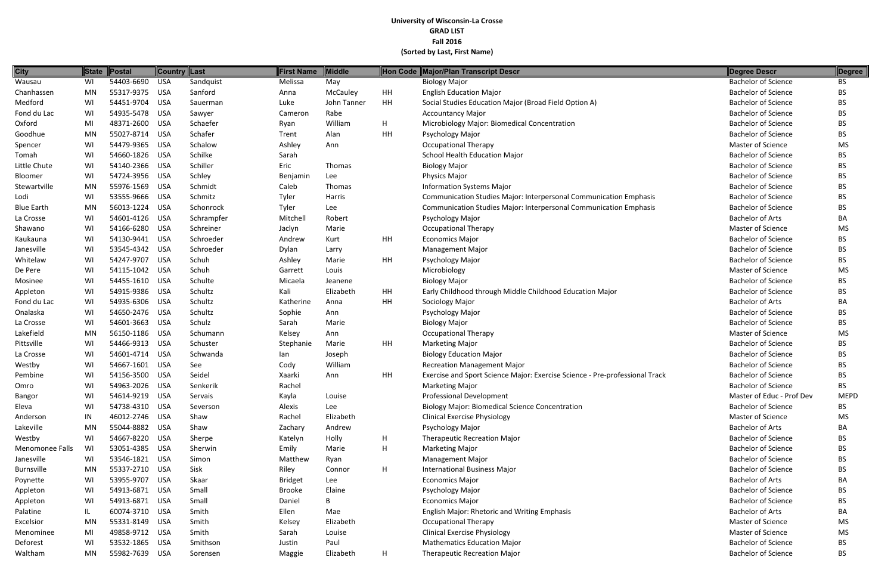| <b>City</b>       | <b>State</b> | Postal         | <b>Country Last</b> |            | <b>First Name</b> | Middle      |           | Hon Code Major/Plan Transcript Descr                                        | <b>Degree Descr</b>        | <b>Degree</b> |
|-------------------|--------------|----------------|---------------------|------------|-------------------|-------------|-----------|-----------------------------------------------------------------------------|----------------------------|---------------|
| Wausau            | WI           | 54403-6690     | <b>USA</b>          | Sandquist  | Melissa           | May         |           | <b>Biology Major</b>                                                        | <b>Bachelor of Science</b> | <b>BS</b>     |
| Chanhassen        | MN           | 55317-9375 USA |                     | Sanford    | Anna              | McCauley    | <b>HH</b> | <b>English Education Major</b>                                              | <b>Bachelor of Science</b> | <b>BS</b>     |
| Medford           | WI           | 54451-9704 USA |                     | Sauerman   | Luke              | John Tanner | <b>HH</b> | Social Studies Education Major (Broad Field Option A)                       | <b>Bachelor of Science</b> | <b>BS</b>     |
| Fond du Lac       | WI           | 54935-5478     | USA                 | Sawyer     | Cameron           | Rabe        |           | <b>Accountancy Major</b>                                                    | <b>Bachelor of Science</b> | <b>BS</b>     |
| Oxford            | MI           | 48371-2600     | <b>USA</b>          | Schaefer   | Ryan              | William     | H         | Microbiology Major: Biomedical Concentration                                | <b>Bachelor of Science</b> | <b>BS</b>     |
| Goodhue           | MN           | 55027-8714 USA |                     | Schafer    | Trent             | Alan        | <b>HH</b> | Psychology Major                                                            | <b>Bachelor of Science</b> | BS            |
| Spencer           | WI           | 54479-9365 USA |                     | Schalow    | Ashley            | Ann         |           | <b>Occupational Therapy</b>                                                 | Master of Science          | <b>MS</b>     |
| Tomah             | WI           | 54660-1826 USA |                     | Schilke    | Sarah             |             |           | School Health Education Major                                               | <b>Bachelor of Science</b> | <b>BS</b>     |
| Little Chute      | WI           | 54140-2366 USA |                     | Schiller   | Eric              | Thomas      |           | <b>Biology Major</b>                                                        | <b>Bachelor of Science</b> | <b>BS</b>     |
| Bloomer           | WI           | 54724-3956 USA |                     | Schley     | Benjamin          | Lee         |           | Physics Major                                                               | <b>Bachelor of Science</b> | BS            |
| Stewartville      | MN           | 55976-1569 USA |                     | Schmidt    | Caleb             | Thomas      |           | <b>Information Systems Major</b>                                            | <b>Bachelor of Science</b> | <b>BS</b>     |
| Lodi              | WI           | 53555-9666 USA |                     | Schmitz    | Tyler             | Harris      |           | Communication Studies Major: Interpersonal Communication Emphasis           | <b>Bachelor of Science</b> | BS            |
| <b>Blue Earth</b> | MN           | 56013-1224     | USA                 | Schonrock  | Tyler             | Lee         |           | Communication Studies Major: Interpersonal Communication Emphasis           | <b>Bachelor of Science</b> | <b>BS</b>     |
| La Crosse         | WI           | 54601-4126 USA |                     | Schrampfer | Mitchell          | Robert      |           | Psychology Major                                                            | <b>Bachelor of Arts</b>    | BA            |
| Shawano           | WI           | 54166-6280     | USA                 | Schreiner  | Jaclyn            | Marie       |           | <b>Occupational Therapy</b>                                                 | Master of Science          | <b>MS</b>     |
| Kaukauna          | WI           | 54130-9441 USA |                     | Schroeder  | Andrew            | Kurt        | <b>HH</b> | <b>Economics Major</b>                                                      | <b>Bachelor of Science</b> | <b>BS</b>     |
| Janesville        | WI           | 53545-4342 USA |                     | Schroeder  | Dylan             | Larry       |           | <b>Management Major</b>                                                     | <b>Bachelor of Science</b> | <b>BS</b>     |
| Whitelaw          | WI           | 54247-9707     | <b>USA</b>          | Schuh      | Ashley            | Marie       | <b>HH</b> | Psychology Major                                                            | <b>Bachelor of Science</b> | <b>BS</b>     |
| De Pere           | WI           | 54115-1042 USA |                     | Schuh      | Garrett           | Louis       |           | Microbiology                                                                | Master of Science          | <b>MS</b>     |
| Mosinee           | WI           | 54455-1610     | USA                 | Schulte    | Micaela           | Jeanene     |           | <b>Biology Major</b>                                                        | <b>Bachelor of Science</b> | BS            |
| Appleton          | WI           | 54915-9386 USA |                     | Schultz    | Kali              | Elizabeth   | HH        | Early Childhood through Middle Childhood Education Major                    | <b>Bachelor of Science</b> | <b>BS</b>     |
| Fond du Lac       | WI           | 54935-6306 USA |                     | Schultz    | Katherine         | Anna        | <b>HH</b> | Sociology Major                                                             | <b>Bachelor of Arts</b>    | BA            |
| Onalaska          | WI           | 54650-2476 USA |                     | Schultz    | Sophie            | Ann         |           | Psychology Major                                                            | <b>Bachelor of Science</b> | <b>BS</b>     |
| La Crosse         | WI           | 54601-3663 USA |                     | Schulz     | Sarah             | Marie       |           | <b>Biology Major</b>                                                        | <b>Bachelor of Science</b> | <b>BS</b>     |
| Lakefield         | MN           | 56150-1186     | USA                 | Schumann   | Kelsey            | Ann         |           | <b>Occupational Therapy</b>                                                 | Master of Science          | <b>MS</b>     |
| Pittsville        | WI           | 54466-9313 USA |                     | Schuster   | Stephanie         | Marie       | <b>HH</b> | <b>Marketing Major</b>                                                      | <b>Bachelor of Science</b> | <b>BS</b>     |
| La Crosse         | WI           | 54601-4714 USA |                     | Schwanda   | lan               | Joseph      |           | <b>Biology Education Major</b>                                              | <b>Bachelor of Science</b> | <b>BS</b>     |
| Westby            | WI           | 54667-1601 USA |                     | See        | Cody              | William     |           | <b>Recreation Management Major</b>                                          | <b>Bachelor of Science</b> | BS            |
| Pembine           | WI           | 54156-3500     | <b>USA</b>          | Seidel     | Xaarki            | Ann         | HH        | Exercise and Sport Science Major: Exercise Science - Pre-professional Track | <b>Bachelor of Science</b> | <b>BS</b>     |
| Omro              | WI           | 54963-2026 USA |                     | Senkerik   | Rachel            |             |           | <b>Marketing Major</b>                                                      | <b>Bachelor of Science</b> | <b>BS</b>     |
| Bangor            | WI           | 54614-9219 USA |                     | Servais    | Kayla             | Louise      |           | <b>Professional Development</b>                                             | Master of Educ - Prof Dev  | <b>MEPD</b>   |
| Eleva             | WI           | 54738-4310 USA |                     | Severson   | Alexis            | Lee         |           | <b>Biology Major: Biomedical Science Concentration</b>                      | <b>Bachelor of Science</b> | BS            |
| Anderson          | IN           | 46012-2746 USA |                     | Shaw       | Rachel            | Elizabeth   |           | <b>Clinical Exercise Physiology</b>                                         | Master of Science          | <b>MS</b>     |
| Lakeville         | MN           | 55044-8882 USA |                     | Shaw       | Zachary           | Andrew      |           | Psychology Major                                                            | <b>Bachelor of Arts</b>    | BA            |
| Westby            | WI           | 54667-8220 USA |                     | Sherpe     | Katelyn           | Holly       | H         | <b>Therapeutic Recreation Major</b>                                         | <b>Bachelor of Science</b> | <b>BS</b>     |
| Menomonee Falls   | WI           | 53051-4385 USA |                     | Sherwin    | Emily             | Marie       | H         | <b>Marketing Major</b>                                                      | <b>Bachelor of Science</b> | BS            |
| Janesville        | WI           | 53546-1821 USA |                     | Simon      | Matthew           | Ryan        |           | <b>Management Major</b>                                                     | <b>Bachelor of Science</b> | <b>BS</b>     |
| Burnsville        | MN           | 55337-2710 USA |                     | Sisk       | Riley             | Connor      | H         | <b>International Business Major</b>                                         | <b>Bachelor of Science</b> | BS            |
| Poynette          | WI           | 53955-9707 USA |                     | Skaar      | <b>Bridget</b>    | Lee         |           | <b>Economics Major</b>                                                      | <b>Bachelor of Arts</b>    | BA            |
| Appleton          | WI           | 54913-6871 USA |                     | Small      | <b>Brooke</b>     | Elaine      |           | Psychology Major                                                            | <b>Bachelor of Science</b> | <b>BS</b>     |
| Appleton          | WI           | 54913-6871 USA |                     | Small      | Daniel            | B           |           | <b>Economics Major</b>                                                      | <b>Bachelor of Science</b> | BS            |
| Palatine          | IL.          | 60074-3710 USA |                     | Smith      | Ellen             | Mae         |           | <b>English Major: Rhetoric and Writing Emphasis</b>                         | <b>Bachelor of Arts</b>    | BA            |
| Excelsior         | MN           | 55331-8149 USA |                     | Smith      | Kelsey            | Elizabeth   |           | <b>Occupational Therapy</b>                                                 | Master of Science          | <b>MS</b>     |
| Menominee         | MI           | 49858-9712 USA |                     | Smith      | Sarah             | Louise      |           | <b>Clinical Exercise Physiology</b>                                         | Master of Science          | <b>MS</b>     |
| Deforest          | WI           | 53532-1865 USA |                     | Smithson   | Justin            | Paul        |           | <b>Mathematics Education Major</b>                                          | <b>Bachelor of Science</b> | BS            |
| Waltham           | MN           | 55982-7639 USA |                     | Sorensen   | Maggie            | Elizabeth   | H         | <b>Therapeutic Recreation Major</b>                                         | <b>Bachelor of Science</b> | <b>BS</b>     |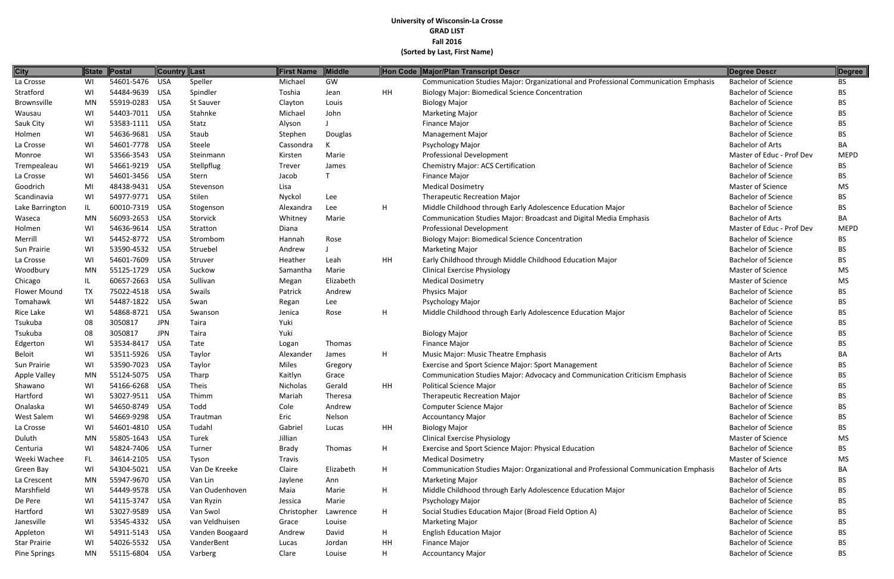| <b>City</b>         |           | State Postal   | <b>Country Last</b> |                  | <b>First Name</b> | <b>Middle</b> |           | Hon Code Major/Plan Transcript Descr                                                | Degree Descr               | Degree      |
|---------------------|-----------|----------------|---------------------|------------------|-------------------|---------------|-----------|-------------------------------------------------------------------------------------|----------------------------|-------------|
| La Crosse           | WI        | 54601-5476     | <b>USA</b>          | Speller          | Michael           | GW            |           | Communication Studies Major: Organizational and Professional Communication Emphasis | <b>Bachelor of Science</b> | BS          |
| Stratford           | WI        | 54484-9639     | USA                 | Spindler         | Toshia            | Jean          | HH        | <b>Biology Major: Biomedical Science Concentration</b>                              | <b>Bachelor of Science</b> | BS.         |
| Brownsville         | MN        | 55919-0283     | <b>USA</b>          | <b>St Sauver</b> | Clayton           | Louis         |           | <b>Biology Major</b>                                                                | <b>Bachelor of Science</b> | <b>BS</b>   |
| Wausau              | WI        | 54403-7011     | <b>USA</b>          | Stahnke          | Michael           | John          |           | <b>Marketing Major</b>                                                              | <b>Bachelor of Science</b> | <b>BS</b>   |
| Sauk City           | WI        | 53583-1111     | <b>USA</b>          | Statz            | Alyson            |               |           | Finance Major                                                                       | <b>Bachelor of Science</b> | <b>BS</b>   |
| Holmen              | WI        | 54636-9681     | <b>USA</b>          | Staub            | Stephen           | Douglas       |           | <b>Management Major</b>                                                             | <b>Bachelor of Science</b> | <b>BS</b>   |
| La Crosse           | WI        | 54601-7778 USA |                     | Steele           | Cassondra         |               |           | Psychology Major                                                                    | <b>Bachelor of Arts</b>    | BA          |
| Monroe              | WI        | 53566-3543 USA |                     | Steinmann        | Kirsten           | Marie         |           | <b>Professional Development</b>                                                     | Master of Educ - Prof Dev  | <b>MEPD</b> |
| Trempealeau         | WI        | 54661-9219     | USA                 | Stellpflug       | Trever            | James         |           | <b>Chemistry Major: ACS Certification</b>                                           | <b>Bachelor of Science</b> | BS.         |
| La Crosse           | WI        | 54601-3456     | <b>USA</b>          | Stern            | Jacob             |               |           | Finance Major                                                                       | <b>Bachelor of Science</b> | <b>BS</b>   |
| Goodrich            | MI        | 48438-9431     | <b>USA</b>          | Stevenson        | Lisa              |               |           | <b>Medical Dosimetry</b>                                                            | Master of Science          | <b>MS</b>   |
| Scandinavia         | WI        | 54977-9771 USA |                     | Stilen           | Nyckol            | Lee           |           | <b>Therapeutic Recreation Major</b>                                                 | <b>Bachelor of Science</b> | BS.         |
| Lake Barrington     | IL        | 60010-7319     | <b>USA</b>          | Stogenson        | Alexandra         | Lee           | H         | Middle Childhood through Early Adolescence Education Major                          | <b>Bachelor of Science</b> | <b>BS</b>   |
| Waseca              | <b>MN</b> | 56093-2653     | <b>USA</b>          | Storvick         | Whitney           | Marie         |           | Communication Studies Major: Broadcast and Digital Media Emphasis                   | <b>Bachelor of Arts</b>    | BA          |
| Holmen              | WI        | 54636-9614     | <b>USA</b>          | Stratton         | Diana             |               |           | <b>Professional Development</b>                                                     | Master of Educ - Prof Dev  | <b>MEPD</b> |
| Merrill             | WI        | 54452-8772     | USA                 | Strombom         | Hannah            | Rose          |           | <b>Biology Major: Biomedical Science Concentration</b>                              | <b>Bachelor of Science</b> | <b>BS</b>   |
| Sun Prairie         | WI        | 53590-4532 USA |                     | Struebel         | Andrew            |               |           | <b>Marketing Major</b>                                                              | <b>Bachelor of Science</b> | <b>BS</b>   |
| La Crosse           | WI        | 54601-7609     | <b>USA</b>          | Struver          | Heather           | Leah          | <b>HH</b> | Early Childhood through Middle Childhood Education Major                            | <b>Bachelor of Science</b> | <b>BS</b>   |
| Woodbury            | MN        | 55125-1729     | <b>USA</b>          | Suckow           | Samantha          | Marie         |           | <b>Clinical Exercise Physiology</b>                                                 | Master of Science          | <b>MS</b>   |
| Chicago             | IL.       | 60657-2663     | <b>USA</b>          | Sullivan         | Megan             | Elizabeth     |           | <b>Medical Dosimetry</b>                                                            | Master of Science          | <b>MS</b>   |
| Flower Mound        | <b>TX</b> | 75022-4518     | USA                 | Swails           | Patrick           | Andrew        |           | <b>Physics Major</b>                                                                | <b>Bachelor of Science</b> | <b>BS</b>   |
| Tomahawk            | WI        | 54487-1822     | <b>USA</b>          | Swan             | Regan             | Lee           |           | Psychology Major                                                                    | <b>Bachelor of Science</b> | <b>BS</b>   |
| Rice Lake           | WI        | 54868-8721     | <b>USA</b>          | Swanson          | Jenica            | Rose          | H         | Middle Childhood through Early Adolescence Education Major                          | <b>Bachelor of Science</b> | <b>BS</b>   |
| Tsukuba             | 08        | 3050817        | <b>JPN</b>          | Taira            | Yuki              |               |           |                                                                                     | <b>Bachelor of Science</b> | <b>BS</b>   |
| Tsukuba             | 08        | 3050817        | <b>JPN</b>          | Taira            | Yuki              |               |           | <b>Biology Major</b>                                                                | <b>Bachelor of Science</b> | <b>BS</b>   |
| Edgerton            | WI        | 53534-8417     | <b>USA</b>          | Tate             | Logan             | Thomas        |           | Finance Major                                                                       | <b>Bachelor of Science</b> | <b>BS</b>   |
| <b>Beloit</b>       | WI        | 53511-5926     | USA                 | Taylor           | Alexander         | James         | H         | Music Major: Music Theatre Emphasis                                                 | <b>Bachelor of Arts</b>    | BA          |
| Sun Prairie         | WI        | 53590-7023     | <b>USA</b>          | Taylor           | Miles             | Gregory       |           | Exercise and Sport Science Major: Sport Management                                  | <b>Bachelor of Science</b> | <b>BS</b>   |
| Apple Valley        | MN        | 55124-5075     | <b>USA</b>          | Tharp            | Kaitlyn           | Grace         |           | Communication Studies Major: Advocacy and Communication Criticism Emphasis          | <b>Bachelor of Science</b> | <b>BS</b>   |
| Shawano             | WI        | 54166-6268     | <b>USA</b>          | Theis            | Nicholas          | Gerald        | HH        | <b>Political Science Major</b>                                                      | <b>Bachelor of Science</b> | <b>BS</b>   |
| Hartford            | WI        | 53027-9511 USA |                     | Thimm            | Mariah            | Theresa       |           | <b>Therapeutic Recreation Major</b>                                                 | <b>Bachelor of Science</b> | <b>BS</b>   |
| Onalaska            | WI        | 54650-8749 USA |                     | Todd             | Cole              | Andrew        |           | <b>Computer Science Major</b>                                                       | <b>Bachelor of Science</b> | <b>BS</b>   |
| West Salem          | WI        | 54669-9298 USA |                     | Trautman         | Eric              | Nelson        |           | <b>Accountancy Major</b>                                                            | <b>Bachelor of Science</b> | <b>BS</b>   |
| La Crosse           | WI        | 54601-4810 USA |                     | Tudahl           | Gabriel           | Lucas         | HH        | <b>Biology Major</b>                                                                | <b>Bachelor of Science</b> | <b>BS</b>   |
| Duluth              | MN        | 55805-1643 USA |                     | Turek            | Jillian           |               |           | <b>Clinical Exercise Physiology</b>                                                 | Master of Science          | <b>MS</b>   |
| Centuria            | WI        | 54824-7406 USA |                     | Turner           | Brady             | Thomas        | H         | Exercise and Sport Science Major: Physical Education                                | <b>Bachelor of Science</b> | <b>BS</b>   |
| Weeki Wachee        | FL.       | 34614-2105 USA |                     | Tyson            | Travis            |               |           | <b>Medical Dosimetry</b>                                                            | Master of Science          | <b>MS</b>   |
| Green Bay           | WI        | 54304-5021 USA |                     | Van De Kreeke    | Claire            | Elizabeth     | H         | Communication Studies Major: Organizational and Professional Communication Emphasis | <b>Bachelor of Arts</b>    | BA          |
| La Crescent         | MN        | 55947-9670 USA |                     | Van Lin          | Jaylene           | Ann           |           | <b>Marketing Major</b>                                                              | <b>Bachelor of Science</b> | <b>BS</b>   |
| Marshfield          | WI        | 54449-9578 USA |                     | Van Oudenhoven   | Maia              | Marie         | H         | Middle Childhood through Early Adolescence Education Major                          | <b>Bachelor of Science</b> | <b>BS</b>   |
| De Pere             | WI        | 54115-3747 USA |                     | Van Ryzin        | Jessica           | Marie         |           | Psychology Major                                                                    | <b>Bachelor of Science</b> | <b>BS</b>   |
| Hartford            | WI        | 53027-9589     | USA                 | Van Swol         | Christopher       | Lawrence      | H         | Social Studies Education Major (Broad Field Option A)                               | <b>Bachelor of Science</b> | <b>BS</b>   |
| Janesville          | WI        | 53545-4332 USA |                     | van Veldhuisen   | Grace             | Louise        |           | <b>Marketing Major</b>                                                              | <b>Bachelor of Science</b> | <b>BS</b>   |
| Appleton            | WI        | 54911-5143 USA |                     | Vanden Boogaard  | Andrew            | David         | H.        | <b>English Education Major</b>                                                      | <b>Bachelor of Science</b> | <b>BS</b>   |
| Star Prairie        | WI        | 54026-5532 USA |                     | VanderBent       | Lucas             | Jordan        | HH        | Finance Major                                                                       | <b>Bachelor of Science</b> | <b>BS</b>   |
| <b>Pine Springs</b> | MN        | 55115-6804 USA |                     | Varberg          | Clare             | Louise        | H         | <b>Accountancy Major</b>                                                            | <b>Bachelor of Science</b> | <b>BS</b>   |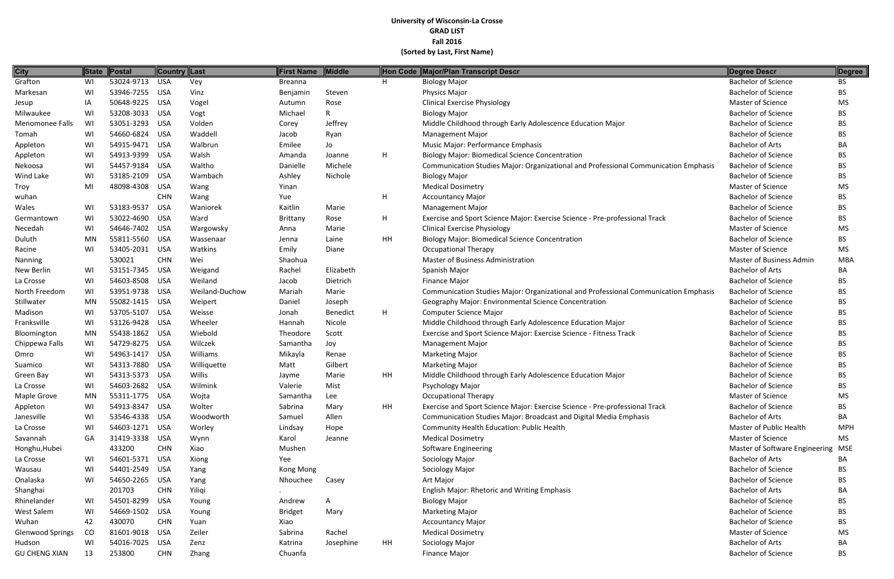| <b>City</b>             | <b>State</b> | Postal         | Country Last |                | <b>First Name</b> | Middle       | Hon Code | <b>Major/Plan Transcript Descr</b>                                                  | <b>Degree Descr</b>            | Degree     |
|-------------------------|--------------|----------------|--------------|----------------|-------------------|--------------|----------|-------------------------------------------------------------------------------------|--------------------------------|------------|
| Grafton                 | WI           | 53024-9713 USA |              | Vey            | Breanna           |              | H        | <b>Biology Major</b>                                                                | <b>Bachelor of Science</b>     | <b>BS</b>  |
| Markesan                | WI           | 53946-7255     | USA          | Vinz           | Benjamin          | Steven       |          | <b>Physics Major</b>                                                                | <b>Bachelor of Science</b>     | <b>BS</b>  |
| Jesup                   | IA           | 50648-9225     | USA          | Vogel          | Autumn            | Rose         |          | <b>Clinical Exercise Physiology</b>                                                 | Master of Science              | <b>MS</b>  |
| Milwaukee               | WI           | 53208-3033     | USA          | Vogt           | Michael           | $\mathsf{R}$ |          | <b>Biology Major</b>                                                                | <b>Bachelor of Science</b>     | <b>BS</b>  |
| Menomonee Falls         | WI           | 53051-3293     | USA          | Volden         | Corey             | Jeffrey      |          | Middle Childhood through Early Adolescence Education Major                          | <b>Bachelor of Science</b>     | <b>BS</b>  |
| Tomah                   | WI           | 54660-6824 USA |              | Waddell        | Jacob             | Ryan         |          | <b>Management Major</b>                                                             | <b>Bachelor of Science</b>     | <b>BS</b>  |
| Appleton                | WI           | 54915-9471 USA |              | Walbrun        | Emilee            | Jo           |          | Music Major: Performance Emphasis                                                   | <b>Bachelor of Arts</b>        | BA         |
| Appleton                | WI           | 54913-9399     | USA          | Walsh          | Amanda            | Joanne       | H        | <b>Biology Major: Biomedical Science Concentration</b>                              | <b>Bachelor of Science</b>     | <b>BS</b>  |
| Nekoosa                 | WI           | 54457-9184     | USA          | Waltho         | Danielle          | Michele      |          | Communication Studies Major: Organizational and Professional Communication Emphasis | <b>Bachelor of Science</b>     | <b>BS</b>  |
| Wind Lake               | WI           | 53185-2109     | USA          | Wambach        | Ashley            | Nichole      |          | <b>Biology Major</b>                                                                | <b>Bachelor of Science</b>     | <b>BS</b>  |
| Troy                    | MI           | 48098-4308     | USA          | Wang           | Yinan             |              |          | <b>Medical Dosimetry</b>                                                            | <b>Master of Science</b>       | MS         |
| wuhan                   |              |                | <b>CHN</b>   | Wang           | Yue               |              | H        | <b>Accountancy Major</b>                                                            | <b>Bachelor of Science</b>     | <b>BS</b>  |
| Wales                   | WI           | 53183-9537     | <b>USA</b>   | Waniorek       | Kaitlin           | Marie        |          | <b>Management Major</b>                                                             | <b>Bachelor of Science</b>     | <b>BS</b>  |
| Germantown              | WI           | 53022-4690     | USA          | Ward           | Brittany          | Rose         | Н.       | Exercise and Sport Science Major: Exercise Science - Pre-professional Track         | <b>Bachelor of Science</b>     | BS.        |
| Necedah                 | WI           | 54646-7402 USA |              | Wargowsky      | Anna              | Marie        |          | <b>Clinical Exercise Physiology</b>                                                 | <b>Master of Science</b>       | MS         |
| Duluth                  | MN           | 55811-5560 USA |              | Wassenaar      | Jenna             | Laine        | HH       | <b>Biology Major: Biomedical Science Concentration</b>                              | <b>Bachelor of Science</b>     | <b>BS</b>  |
| Racine                  | WI           | 53405-2031     | USA          | Watkins        | Emily             | Diane        |          | <b>Occupational Therapy</b>                                                         | <b>Master of Science</b>       | <b>MS</b>  |
| Nanning                 |              | 530021         | <b>CHN</b>   | Wei            | Shaohua           |              |          | <b>Master of Business Administration</b>                                            | Master of Business Admin       | <b>MBA</b> |
| New Berlin              | WI           | 53151-7345 USA |              | Weigand        | Rachel            | Elizabeth    |          | Spanish Major                                                                       | <b>Bachelor of Arts</b>        | BA         |
| La Crosse               | WI           | 54603-8508 USA |              | Weiland        | Jacob             | Dietrich     |          | <b>Finance Major</b>                                                                | <b>Bachelor of Science</b>     | <b>BS</b>  |
| North Freedom           | WI           | 53951-9738 USA |              | Weiland-Duchow | Mariah            | Marie        |          | Communication Studies Major: Organizational and Professional Communication Emphasis | <b>Bachelor of Science</b>     | <b>BS</b>  |
| Stillwater              | <b>MN</b>    | 55082-1415     | <b>USA</b>   | Weipert        | Daniel            | Joseph       |          | Geography Major: Environmental Science Concentration                                | <b>Bachelor of Science</b>     | <b>BS</b>  |
| Madison                 | WI           | 53705-5107     | USA          | Weisse         | Jonah             | Benedict     | H        | Computer Science Major                                                              | <b>Bachelor of Science</b>     | <b>BS</b>  |
| Franksville             | WI           | 53126-9428 USA |              | Wheeler        | Hannah            | Nicole       |          | Middle Childhood through Early Adolescence Education Major                          | <b>Bachelor of Science</b>     | <b>BS</b>  |
| Bloomington             | MN           | 55438-1862 USA |              | Wiebold        | Theodore          | Scott        |          | Exercise and Sport Science Major: Exercise Science - Fitness Track                  | <b>Bachelor of Science</b>     | <b>BS</b>  |
| Chippewa Falls          | WI           | 54729-8275 USA |              | Wilczek        | Samantha          | Joy          |          | <b>Management Major</b>                                                             | <b>Bachelor of Science</b>     | <b>BS</b>  |
| Omro                    | WI           | 54963-1417     | <b>USA</b>   | Williams       | Mikayla           | Renae        |          | <b>Marketing Major</b>                                                              | <b>Bachelor of Science</b>     | <b>BS</b>  |
| Suamico                 | WI           | 54313-7880     | USA          | Williquette    | Matt              | Gilbert      |          | <b>Marketing Major</b>                                                              | <b>Bachelor of Science</b>     | <b>BS</b>  |
| Green Bay               | WI           | 54313-5373     | USA          | Willis         | Jayme             | Marie        | HH       | Middle Childhood through Early Adolescence Education Major                          | <b>Bachelor of Science</b>     | <b>BS</b>  |
| La Crosse               | WI           | 54603-2682 USA |              | Wilmink        | Valerie           | Mist         |          | Psychology Major                                                                    | <b>Bachelor of Science</b>     | <b>BS</b>  |
| Maple Grove             | <b>MN</b>    | 55311-1775 USA |              | Wojta          | Samantha          | Lee          |          | <b>Occupational Therapy</b>                                                         | Master of Science              | <b>MS</b>  |
| Appleton                | WI           | 54913-8347     | USA          | Wolter         | Sabrina           | Mary         | HH       | Exercise and Sport Science Major: Exercise Science - Pre-professional Track         | <b>Bachelor of Science</b>     | <b>BS</b>  |
| Janesville              | WI           | 53546-4338 USA |              | Woodworth      | Samuel            | Allen        |          | <b>Communication Studies Major: Broadcast and Digital Media Emphasis</b>            | <b>Bachelor of Arts</b>        | BA         |
| La Crosse               | WI           | 54603-1271 USA |              | Worley         | Lindsay           | Hope         |          | Community Health Education: Public Health                                           | Master of Public Health        | <b>MPH</b> |
| Savannah                | GA           | 31419-3338 USA |              | Wynn           | Karol             | Jeanne       |          | <b>Medical Dosimetry</b>                                                            | Master of Science              | <b>MS</b>  |
| Honghu, Hubei           |              | 433200         | <b>CHN</b>   | Xiao           | Mushen            |              |          | Software Engineering                                                                | Master of Software Engineering | <b>MSE</b> |
| La Crosse               | WI           | 54601-5371 USA |              | Xiong          | Yee               |              |          | Sociology Major                                                                     | <b>Bachelor of Arts</b>        | BA         |
| Wausau                  | WI           | 54401-2549 USA |              | Yang           | Kong Mong         |              |          | Sociology Major                                                                     | <b>Bachelor of Science</b>     | <b>BS</b>  |
| Onalaska                | WI           | 54650-2265     | <b>USA</b>   | Yang           | Nhouchee          | Casey        |          | Art Major                                                                           | <b>Bachelor of Science</b>     | <b>BS</b>  |
| Shanghai                |              | 201703         | <b>CHN</b>   | Yiliqi         |                   |              |          | English Major: Rhetoric and Writing Emphasis                                        | <b>Bachelor of Arts</b>        | BA         |
| Rhinelander             | WI           | 54501-8299     | <b>USA</b>   | Young          | Andrew            | A            |          | <b>Biology Major</b>                                                                | <b>Bachelor of Science</b>     | <b>BS</b>  |
| West Salem              | WI           | 54669-1502 USA |              | Young          | <b>Bridget</b>    | Mary         |          | <b>Marketing Major</b>                                                              | <b>Bachelor of Science</b>     | <b>BS</b>  |
| Wuhan                   | 42           | 430070         | <b>CHN</b>   | Yuan           | Xiao              |              |          | <b>Accountancy Major</b>                                                            | <b>Bachelor of Science</b>     | <b>BS</b>  |
| <b>Glenwood Springs</b> | CO           | 81601-9018     | <b>USA</b>   | Zeiler         | Sabrina           | Rachel       |          | <b>Medical Dosimetry</b>                                                            | Master of Science              | MS         |
| Hudson                  | WI           | 54016-7025     | <b>USA</b>   | Zenz           | Katrina           | Josephine    | HH       | Sociology Major                                                                     | <b>Bachelor of Arts</b>        | BA         |
| <b>GU CHENG XIAN</b>    | 13           | 253800         | <b>CHN</b>   | Zhang          | Chuanfa           |              |          | Finance Major                                                                       | <b>Bachelor of Science</b>     | <b>BS</b>  |